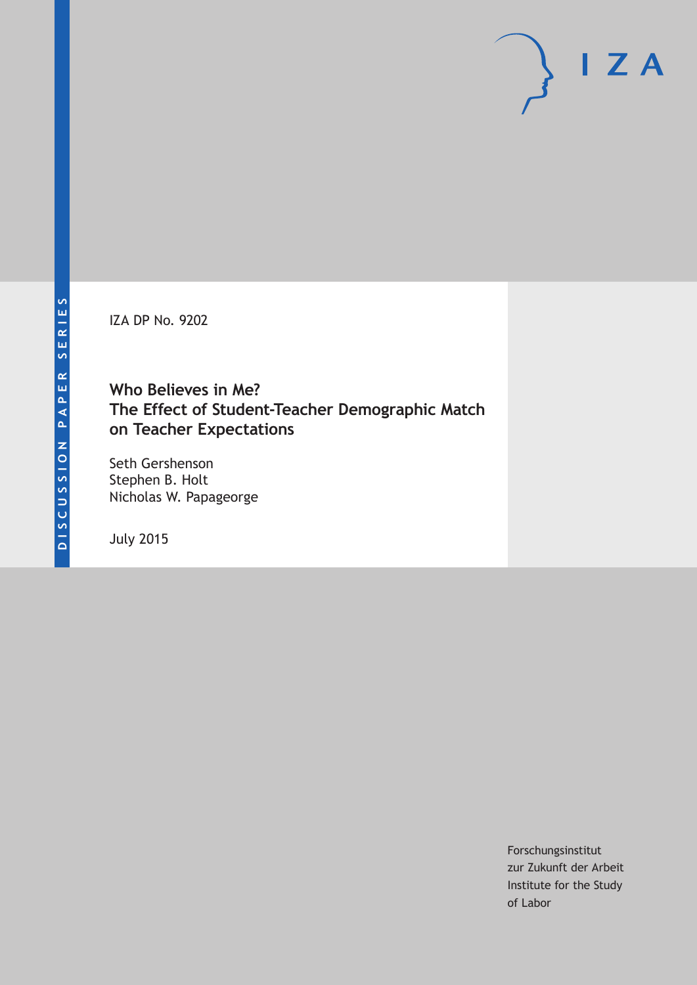IZA DP No. 9202

# **Who Believes in Me? The Effect of Student-Teacher Demographic Match on Teacher Expectations**

Seth Gershenson Stephen B. Holt Nicholas W. Papageorge

July 2015

Forschungsinstitut zur Zukunft der Arbeit Institute for the Study of Labor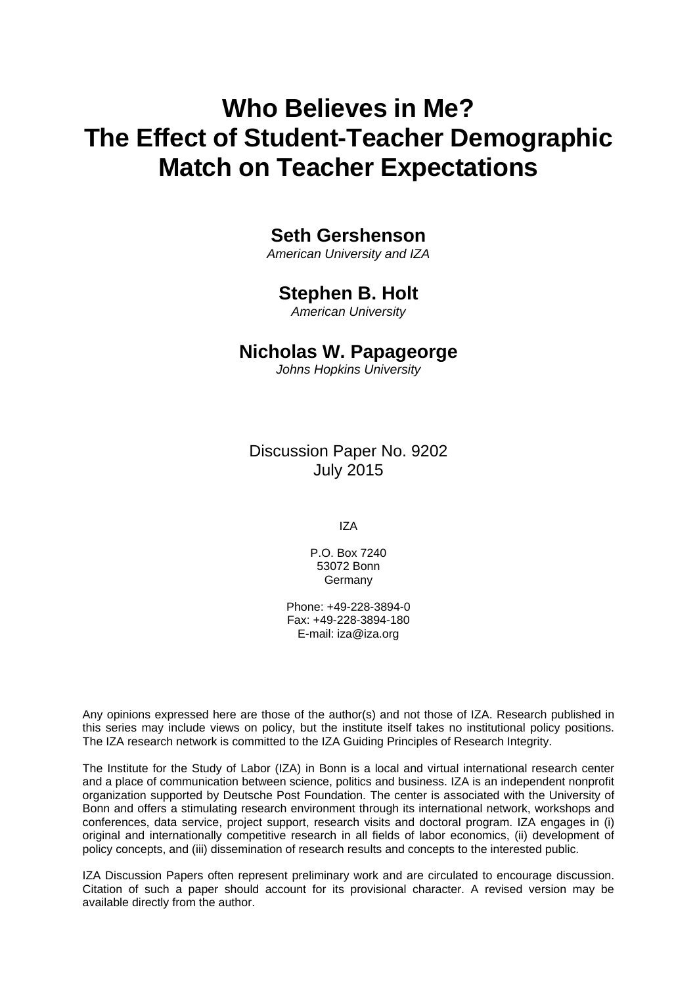# **Who Believes in Me? The Effect of Student-Teacher Demographic Match on Teacher Expectations**

# **Seth Gershenson**

*American University and IZA* 

## **Stephen B. Holt**

*American University* 

### **Nicholas W. Papageorge**

*Johns Hopkins University*

Discussion Paper No. 9202 July 2015

IZA

P.O. Box 7240 53072 Bonn Germany

Phone: +49-228-3894-0 Fax: +49-228-3894-180 E-mail: iza@iza.org

Any opinions expressed here are those of the author(s) and not those of IZA. Research published in this series may include views on policy, but the institute itself takes no institutional policy positions. The IZA research network is committed to the IZA Guiding Principles of Research Integrity.

The Institute for the Study of Labor (IZA) in Bonn is a local and virtual international research center and a place of communication between science, politics and business. IZA is an independent nonprofit organization supported by Deutsche Post Foundation. The center is associated with the University of Bonn and offers a stimulating research environment through its international network, workshops and conferences, data service, project support, research visits and doctoral program. IZA engages in (i) original and internationally competitive research in all fields of labor economics, (ii) development of policy concepts, and (iii) dissemination of research results and concepts to the interested public.

IZA Discussion Papers often represent preliminary work and are circulated to encourage discussion. Citation of such a paper should account for its provisional character. A revised version may be available directly from the author.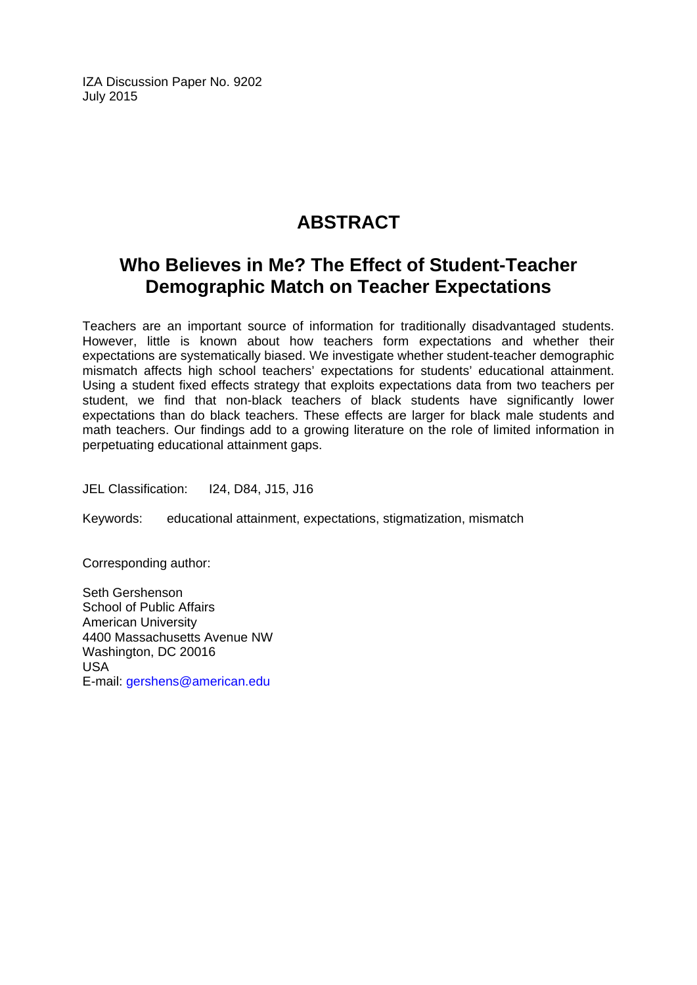IZA Discussion Paper No. 9202 July 2015

# **ABSTRACT**

# **Who Believes in Me? The Effect of Student-Teacher Demographic Match on Teacher Expectations**

Teachers are an important source of information for traditionally disadvantaged students. However, little is known about how teachers form expectations and whether their expectations are systematically biased. We investigate whether student-teacher demographic mismatch affects high school teachers' expectations for students' educational attainment. Using a student fixed effects strategy that exploits expectations data from two teachers per student, we find that non-black teachers of black students have significantly lower expectations than do black teachers. These effects are larger for black male students and math teachers. Our findings add to a growing literature on the role of limited information in perpetuating educational attainment gaps.

JEL Classification: I24, D84, J15, J16

Keywords: educational attainment, expectations, stigmatization, mismatch

Corresponding author:

Seth Gershenson School of Public Affairs American University 4400 Massachusetts Avenue NW Washington, DC 20016 USA E-mail: gershens@american.edu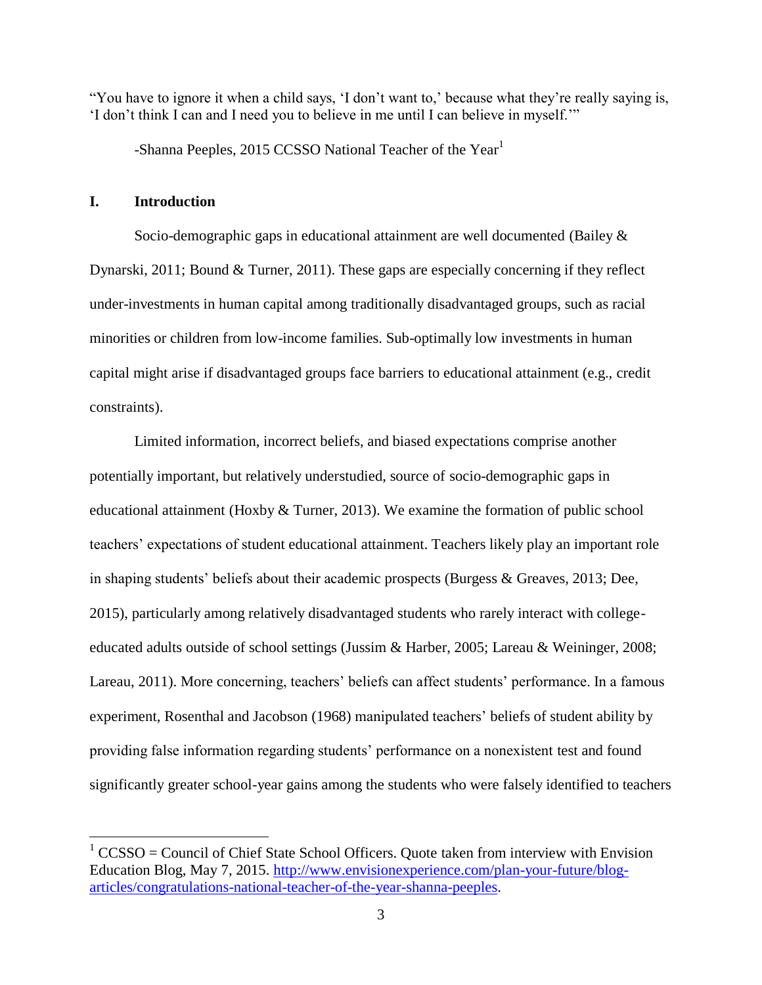"You have to ignore it when a child says, 'I don't want to,' because what they're really saying is, 'I don't think I can and I need you to believe in me until I can believe in myself.'"

-Shanna Peeples, 2015 CCSSO National Teacher of the Year<sup>1</sup>

### **I. Introduction**

 $\overline{a}$ 

Socio-demographic gaps in educational attainment are well documented (Bailey & Dynarski, 2011; Bound & Turner, 2011). These gaps are especially concerning if they reflect under-investments in human capital among traditionally disadvantaged groups, such as racial minorities or children from low-income families. Sub-optimally low investments in human capital might arise if disadvantaged groups face barriers to educational attainment (e.g., credit constraints).

Limited information, incorrect beliefs, and biased expectations comprise another potentially important, but relatively understudied, source of socio-demographic gaps in educational attainment (Hoxby & Turner, 2013). We examine the formation of public school teachers' expectations of student educational attainment. Teachers likely play an important role in shaping students' beliefs about their academic prospects (Burgess & Greaves, 2013; Dee, 2015), particularly among relatively disadvantaged students who rarely interact with collegeeducated adults outside of school settings (Jussim & Harber, 2005; Lareau & Weininger, 2008; Lareau, 2011). More concerning, teachers' beliefs can affect students' performance. In a famous experiment, Rosenthal and Jacobson (1968) manipulated teachers' beliefs of student ability by providing false information regarding students' performance on a nonexistent test and found significantly greater school-year gains among the students who were falsely identified to teachers

 $1$  CCSSO = Council of Chief State School Officers. Ouote taken from interview with Envision Education Blog, May 7, 2015. [http://www.envisionexperience.com/plan-your-future/blog](http://www.envisionexperience.com/plan-your-future/blog-articles/congratulations-national-teacher-of-the-year-shanna-peeples)[articles/congratulations-national-teacher-of-the-year-shanna-peeples.](http://www.envisionexperience.com/plan-your-future/blog-articles/congratulations-national-teacher-of-the-year-shanna-peeples)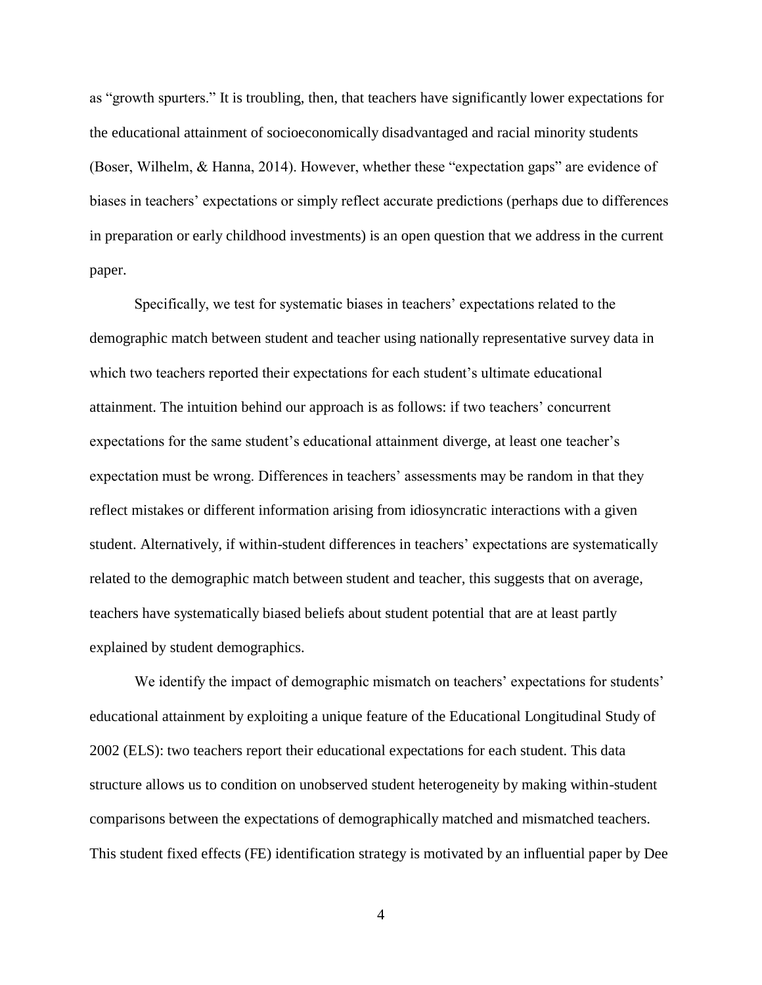as "growth spurters." It is troubling, then, that teachers have significantly lower expectations for the educational attainment of socioeconomically disadvantaged and racial minority students (Boser, Wilhelm, & Hanna, 2014). However, whether these "expectation gaps" are evidence of biases in teachers' expectations or simply reflect accurate predictions (perhaps due to differences in preparation or early childhood investments) is an open question that we address in the current paper.

Specifically, we test for systematic biases in teachers' expectations related to the demographic match between student and teacher using nationally representative survey data in which two teachers reported their expectations for each student's ultimate educational attainment. The intuition behind our approach is as follows: if two teachers' concurrent expectations for the same student's educational attainment diverge, at least one teacher's expectation must be wrong. Differences in teachers' assessments may be random in that they reflect mistakes or different information arising from idiosyncratic interactions with a given student. Alternatively, if within-student differences in teachers' expectations are systematically related to the demographic match between student and teacher, this suggests that on average, teachers have systematically biased beliefs about student potential that are at least partly explained by student demographics.

We identify the impact of demographic mismatch on teachers' expectations for students' educational attainment by exploiting a unique feature of the Educational Longitudinal Study of 2002 (ELS): two teachers report their educational expectations for each student. This data structure allows us to condition on unobserved student heterogeneity by making within-student comparisons between the expectations of demographically matched and mismatched teachers. This student fixed effects (FE) identification strategy is motivated by an influential paper by Dee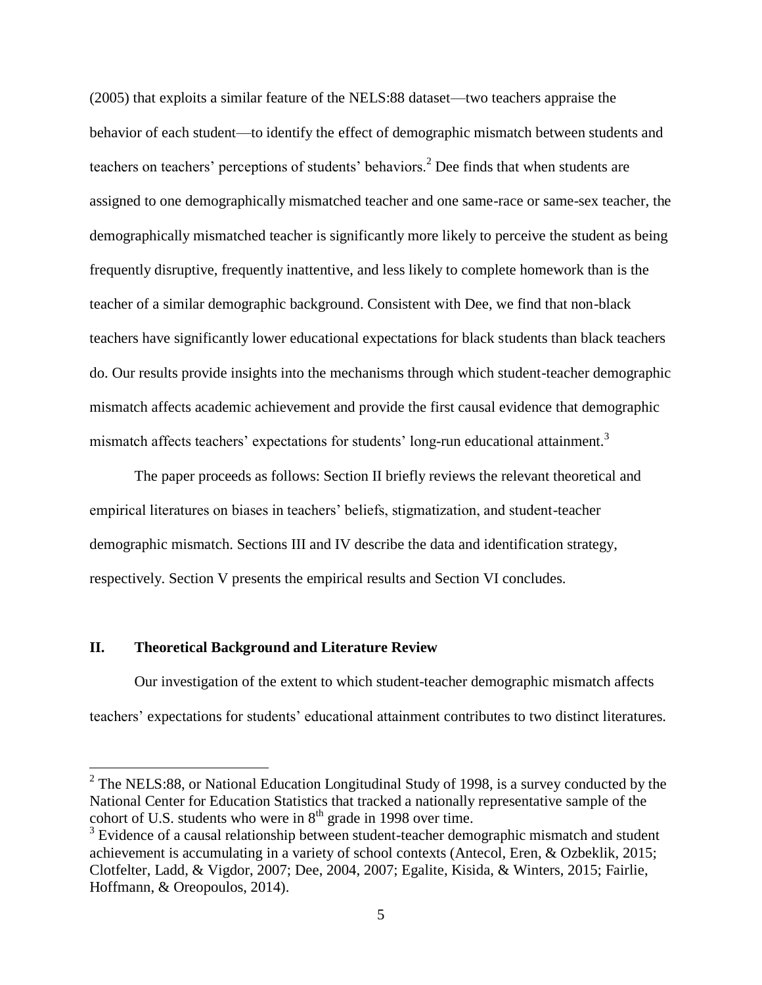(2005) that exploits a similar feature of the NELS:88 dataset—two teachers appraise the behavior of each student—to identify the effect of demographic mismatch between students and teachers on teachers' perceptions of students' behaviors.<sup>2</sup> Dee finds that when students are assigned to one demographically mismatched teacher and one same-race or same-sex teacher, the demographically mismatched teacher is significantly more likely to perceive the student as being frequently disruptive, frequently inattentive, and less likely to complete homework than is the teacher of a similar demographic background. Consistent with Dee, we find that non-black teachers have significantly lower educational expectations for black students than black teachers do. Our results provide insights into the mechanisms through which student-teacher demographic mismatch affects academic achievement and provide the first causal evidence that demographic mismatch affects teachers' expectations for students' long-run educational attainment.<sup>3</sup>

The paper proceeds as follows: Section II briefly reviews the relevant theoretical and empirical literatures on biases in teachers' beliefs, stigmatization, and student-teacher demographic mismatch. Sections III and IV describe the data and identification strategy, respectively. Section V presents the empirical results and Section VI concludes.

#### **II. Theoretical Background and Literature Review**

Our investigation of the extent to which student-teacher demographic mismatch affects teachers' expectations for students' educational attainment contributes to two distinct literatures.

<sup>&</sup>lt;sup>2</sup> The NELS:88, or National Education Longitudinal Study of 1998, is a survey conducted by the National Center for Education Statistics that tracked a nationally representative sample of the cohort of U.S. students who were in  $8<sup>th</sup>$  grade in 1998 over time.

 $3$  Evidence of a causal relationship between student-teacher demographic mismatch and student achievement is accumulating in a variety of school contexts (Antecol, Eren, & Ozbeklik, 2015; Clotfelter, Ladd, & Vigdor, 2007; Dee, 2004, 2007; Egalite, Kisida, & Winters, 2015; Fairlie, Hoffmann, & Oreopoulos, 2014).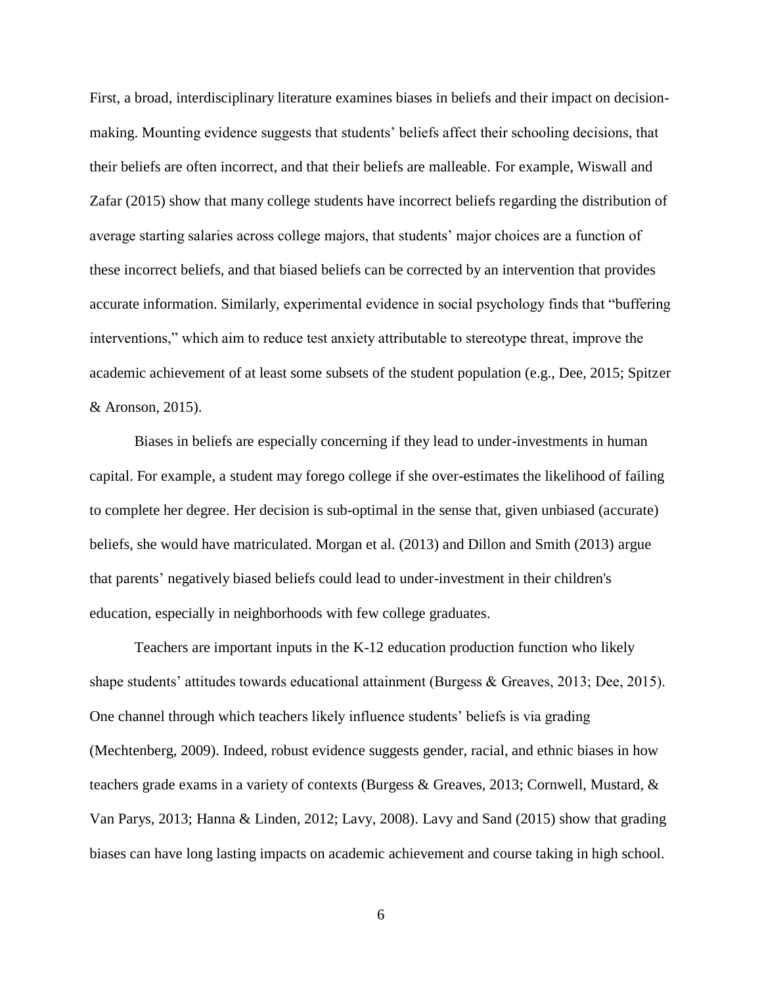First, a broad, interdisciplinary literature examines biases in beliefs and their impact on decisionmaking. Mounting evidence suggests that students' beliefs affect their schooling decisions, that their beliefs are often incorrect, and that their beliefs are malleable. For example, Wiswall and Zafar (2015) show that many college students have incorrect beliefs regarding the distribution of average starting salaries across college majors, that students' major choices are a function of these incorrect beliefs, and that biased beliefs can be corrected by an intervention that provides accurate information. Similarly, experimental evidence in social psychology finds that "buffering interventions," which aim to reduce test anxiety attributable to stereotype threat, improve the academic achievement of at least some subsets of the student population (e.g., Dee, 2015; Spitzer & Aronson, 2015).

Biases in beliefs are especially concerning if they lead to under-investments in human capital. For example, a student may forego college if she over-estimates the likelihood of failing to complete her degree. Her decision is sub-optimal in the sense that, given unbiased (accurate) beliefs, she would have matriculated. Morgan et al. (2013) and Dillon and Smith (2013) argue that parents' negatively biased beliefs could lead to under-investment in their children's education, especially in neighborhoods with few college graduates.

Teachers are important inputs in the K-12 education production function who likely shape students' attitudes towards educational attainment (Burgess & Greaves, 2013; Dee, 2015). One channel through which teachers likely influence students' beliefs is via grading (Mechtenberg, 2009). Indeed, robust evidence suggests gender, racial, and ethnic biases in how teachers grade exams in a variety of contexts (Burgess & Greaves, 2013; Cornwell, Mustard, & Van Parys, 2013; Hanna & Linden, 2012; Lavy, 2008). Lavy and Sand (2015) show that grading biases can have long lasting impacts on academic achievement and course taking in high school.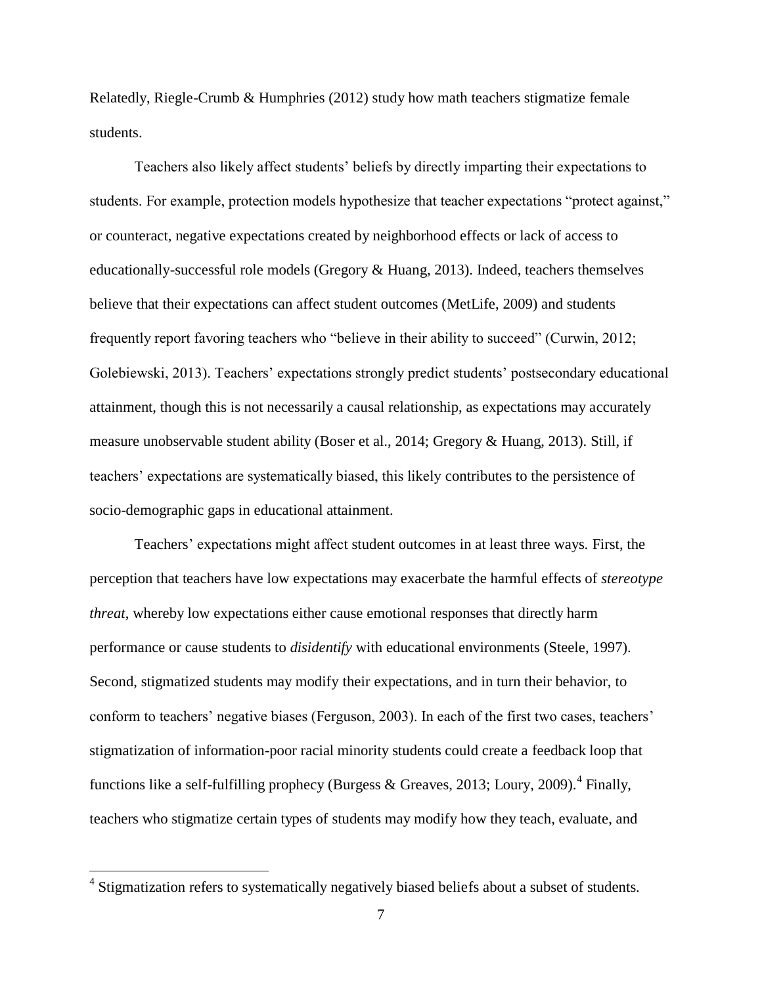Relatedly, Riegle-Crumb & Humphries (2012) study how math teachers stigmatize female students.

Teachers also likely affect students' beliefs by directly imparting their expectations to students. For example, protection models hypothesize that teacher expectations "protect against," or counteract, negative expectations created by neighborhood effects or lack of access to educationally-successful role models (Gregory & Huang, 2013). Indeed, teachers themselves believe that their expectations can affect student outcomes (MetLife, 2009) and students frequently report favoring teachers who "believe in their ability to succeed" (Curwin, 2012; Golebiewski, 2013). Teachers' expectations strongly predict students' postsecondary educational attainment, though this is not necessarily a causal relationship, as expectations may accurately measure unobservable student ability (Boser et al., 2014; Gregory & Huang, 2013). Still, if teachers' expectations are systematically biased, this likely contributes to the persistence of socio-demographic gaps in educational attainment.

Teachers' expectations might affect student outcomes in at least three ways. First, the perception that teachers have low expectations may exacerbate the harmful effects of *stereotype threat*, whereby low expectations either cause emotional responses that directly harm performance or cause students to *disidentify* with educational environments (Steele, 1997). Second, stigmatized students may modify their expectations, and in turn their behavior, to conform to teachers' negative biases (Ferguson, 2003). In each of the first two cases, teachers' stigmatization of information-poor racial minority students could create a feedback loop that functions like a self-fulfilling prophecy (Burgess & Greaves, 2013; Loury, 2009).<sup>4</sup> Finally, teachers who stigmatize certain types of students may modify how they teach, evaluate, and

 $\overline{a}$ 

<sup>&</sup>lt;sup>4</sup> Stigmatization refers to systematically negatively biased beliefs about a subset of students.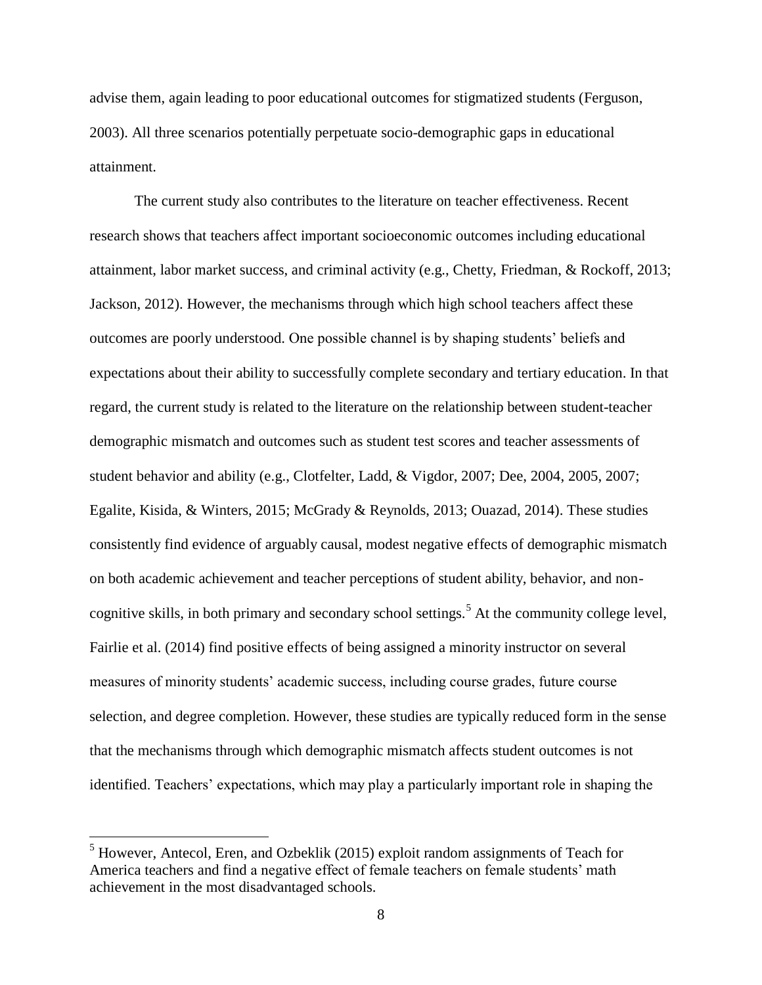advise them, again leading to poor educational outcomes for stigmatized students (Ferguson, 2003). All three scenarios potentially perpetuate socio-demographic gaps in educational attainment.

The current study also contributes to the literature on teacher effectiveness. Recent research shows that teachers affect important socioeconomic outcomes including educational attainment, labor market success, and criminal activity (e.g., Chetty, Friedman, & Rockoff, 2013; Jackson, 2012). However, the mechanisms through which high school teachers affect these outcomes are poorly understood. One possible channel is by shaping students' beliefs and expectations about their ability to successfully complete secondary and tertiary education. In that regard, the current study is related to the literature on the relationship between student-teacher demographic mismatch and outcomes such as student test scores and teacher assessments of student behavior and ability (e.g., Clotfelter, Ladd, & Vigdor, 2007; Dee, 2004, 2005, 2007; Egalite, Kisida, & Winters, 2015; McGrady & Reynolds, 2013; Ouazad, 2014). These studies consistently find evidence of arguably causal, modest negative effects of demographic mismatch on both academic achievement and teacher perceptions of student ability, behavior, and noncognitive skills, in both primary and secondary school settings.<sup>5</sup> At the community college level, Fairlie et al. (2014) find positive effects of being assigned a minority instructor on several measures of minority students' academic success, including course grades, future course selection, and degree completion. However, these studies are typically reduced form in the sense that the mechanisms through which demographic mismatch affects student outcomes is not identified. Teachers' expectations, which may play a particularly important role in shaping the

 $\overline{a}$ 

 $<sup>5</sup>$  However, Antecol, Eren, and Ozbeklik (2015) exploit random assignments of Teach for</sup> America teachers and find a negative effect of female teachers on female students' math achievement in the most disadvantaged schools.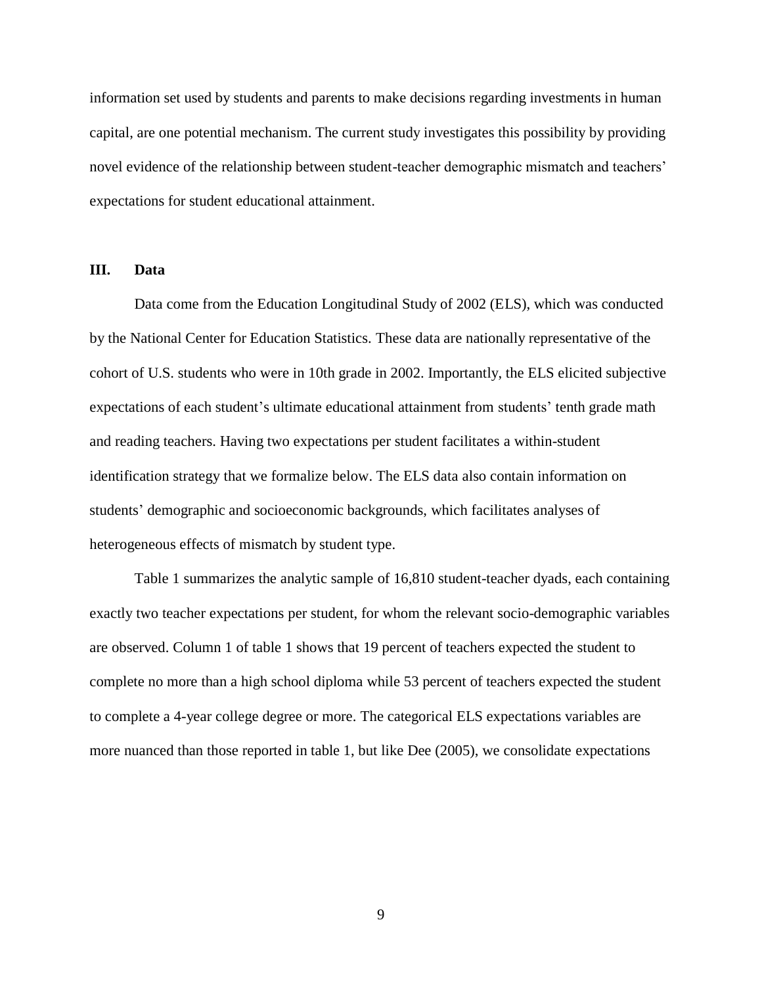information set used by students and parents to make decisions regarding investments in human capital, are one potential mechanism. The current study investigates this possibility by providing novel evidence of the relationship between student-teacher demographic mismatch and teachers' expectations for student educational attainment.

#### **III. Data**

Data come from the Education Longitudinal Study of 2002 (ELS), which was conducted by the National Center for Education Statistics. These data are nationally representative of the cohort of U.S. students who were in 10th grade in 2002. Importantly, the ELS elicited subjective expectations of each student's ultimate educational attainment from students' tenth grade math and reading teachers. Having two expectations per student facilitates a within-student identification strategy that we formalize below. The ELS data also contain information on students' demographic and socioeconomic backgrounds, which facilitates analyses of heterogeneous effects of mismatch by student type.

Table 1 summarizes the analytic sample of 16,810 student-teacher dyads, each containing exactly two teacher expectations per student, for whom the relevant socio-demographic variables are observed. Column 1 of table 1 shows that 19 percent of teachers expected the student to complete no more than a high school diploma while 53 percent of teachers expected the student to complete a 4-year college degree or more. The categorical ELS expectations variables are more nuanced than those reported in table 1, but like Dee (2005), we consolidate expectations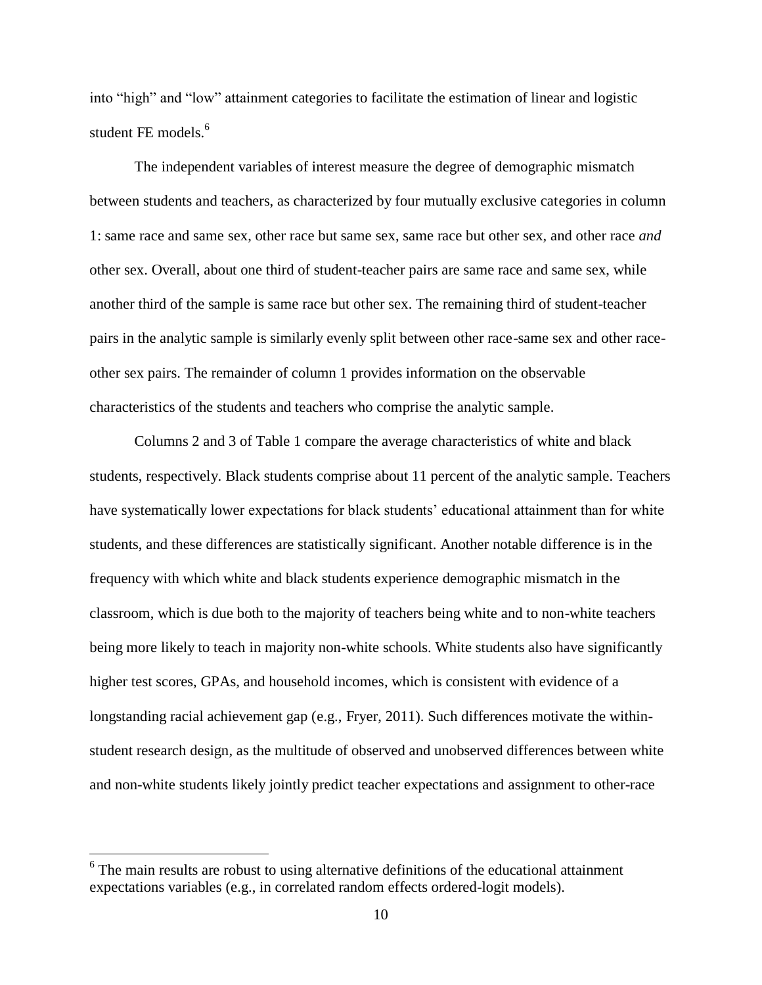into "high" and "low" attainment categories to facilitate the estimation of linear and logistic student FE models.<sup>6</sup>

The independent variables of interest measure the degree of demographic mismatch between students and teachers, as characterized by four mutually exclusive categories in column 1: same race and same sex, other race but same sex, same race but other sex, and other race *and* other sex. Overall, about one third of student-teacher pairs are same race and same sex, while another third of the sample is same race but other sex. The remaining third of student-teacher pairs in the analytic sample is similarly evenly split between other race-same sex and other raceother sex pairs. The remainder of column 1 provides information on the observable characteristics of the students and teachers who comprise the analytic sample.

Columns 2 and 3 of Table 1 compare the average characteristics of white and black students, respectively. Black students comprise about 11 percent of the analytic sample. Teachers have systematically lower expectations for black students' educational attainment than for white students, and these differences are statistically significant. Another notable difference is in the frequency with which white and black students experience demographic mismatch in the classroom, which is due both to the majority of teachers being white and to non-white teachers being more likely to teach in majority non-white schools. White students also have significantly higher test scores, GPAs, and household incomes, which is consistent with evidence of a longstanding racial achievement gap (e.g., Fryer, 2011). Such differences motivate the withinstudent research design, as the multitude of observed and unobserved differences between white and non-white students likely jointly predict teacher expectations and assignment to other-race

 $\overline{a}$ 

 $6$  The main results are robust to using alternative definitions of the educational attainment expectations variables (e.g., in correlated random effects ordered-logit models).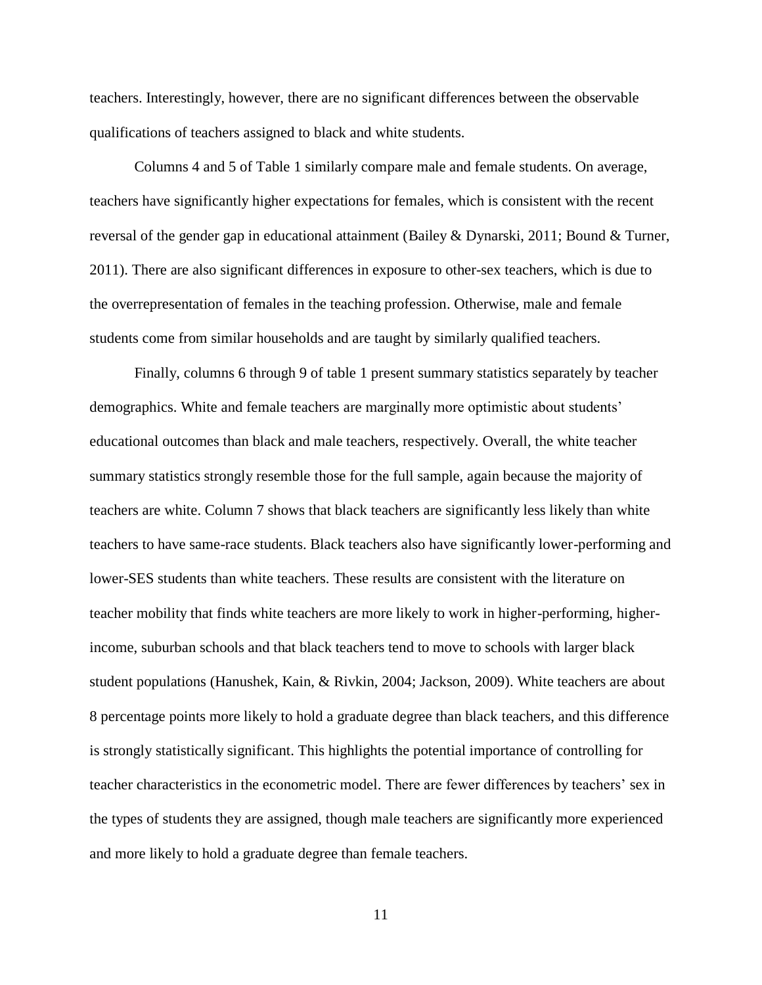teachers. Interestingly, however, there are no significant differences between the observable qualifications of teachers assigned to black and white students.

Columns 4 and 5 of Table 1 similarly compare male and female students. On average, teachers have significantly higher expectations for females, which is consistent with the recent reversal of the gender gap in educational attainment (Bailey & Dynarski, 2011; Bound & Turner, 2011). There are also significant differences in exposure to other-sex teachers, which is due to the overrepresentation of females in the teaching profession. Otherwise, male and female students come from similar households and are taught by similarly qualified teachers.

Finally, columns 6 through 9 of table 1 present summary statistics separately by teacher demographics. White and female teachers are marginally more optimistic about students' educational outcomes than black and male teachers, respectively. Overall, the white teacher summary statistics strongly resemble those for the full sample, again because the majority of teachers are white. Column 7 shows that black teachers are significantly less likely than white teachers to have same-race students. Black teachers also have significantly lower-performing and lower-SES students than white teachers. These results are consistent with the literature on teacher mobility that finds white teachers are more likely to work in higher-performing, higherincome, suburban schools and that black teachers tend to move to schools with larger black student populations (Hanushek, Kain, & Rivkin, 2004; Jackson, 2009). White teachers are about 8 percentage points more likely to hold a graduate degree than black teachers, and this difference is strongly statistically significant. This highlights the potential importance of controlling for teacher characteristics in the econometric model. There are fewer differences by teachers' sex in the types of students they are assigned, though male teachers are significantly more experienced and more likely to hold a graduate degree than female teachers.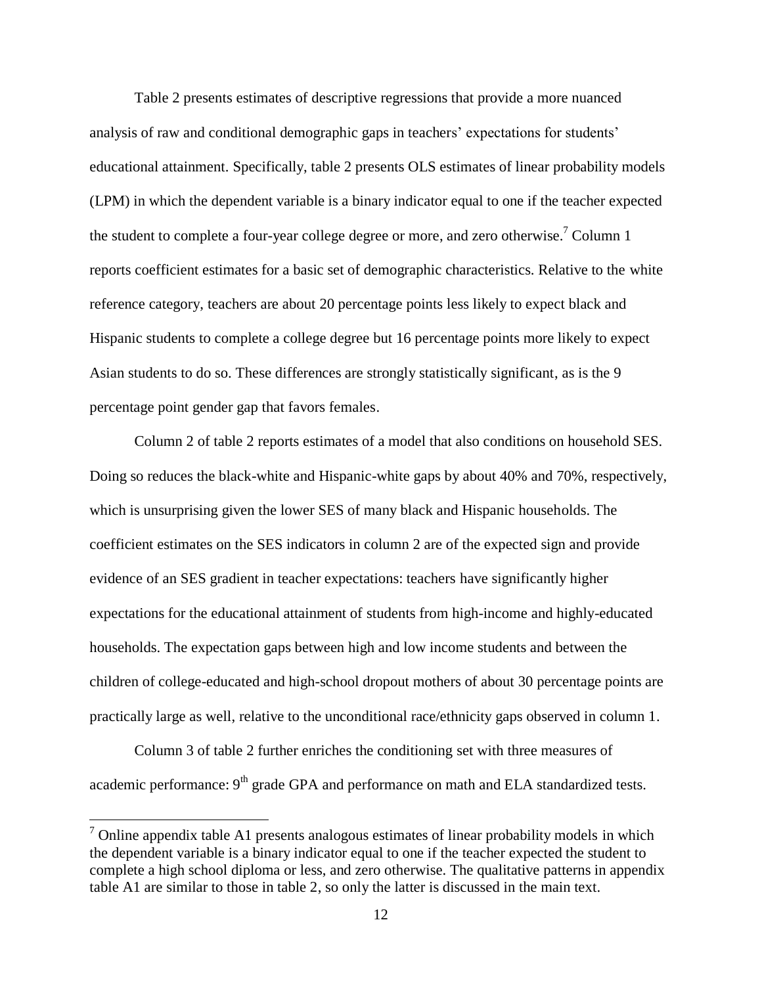Table 2 presents estimates of descriptive regressions that provide a more nuanced analysis of raw and conditional demographic gaps in teachers' expectations for students' educational attainment. Specifically, table 2 presents OLS estimates of linear probability models (LPM) in which the dependent variable is a binary indicator equal to one if the teacher expected the student to complete a four-year college degree or more, and zero otherwise.<sup>7</sup> Column 1 reports coefficient estimates for a basic set of demographic characteristics. Relative to the white reference category, teachers are about 20 percentage points less likely to expect black and Hispanic students to complete a college degree but 16 percentage points more likely to expect Asian students to do so. These differences are strongly statistically significant, as is the 9 percentage point gender gap that favors females.

Column 2 of table 2 reports estimates of a model that also conditions on household SES. Doing so reduces the black-white and Hispanic-white gaps by about 40% and 70%, respectively, which is unsurprising given the lower SES of many black and Hispanic households. The coefficient estimates on the SES indicators in column 2 are of the expected sign and provide evidence of an SES gradient in teacher expectations: teachers have significantly higher expectations for the educational attainment of students from high-income and highly-educated households. The expectation gaps between high and low income students and between the children of college-educated and high-school dropout mothers of about 30 percentage points are practically large as well, relative to the unconditional race/ethnicity gaps observed in column 1.

Column 3 of table 2 further enriches the conditioning set with three measures of academic performance: 9<sup>th</sup> grade GPA and performance on math and ELA standardized tests.

 $\overline{a}$ 

 $<sup>7</sup>$  Online appendix table A1 presents analogous estimates of linear probability models in which</sup> the dependent variable is a binary indicator equal to one if the teacher expected the student to complete a high school diploma or less, and zero otherwise. The qualitative patterns in appendix table A1 are similar to those in table 2, so only the latter is discussed in the main text.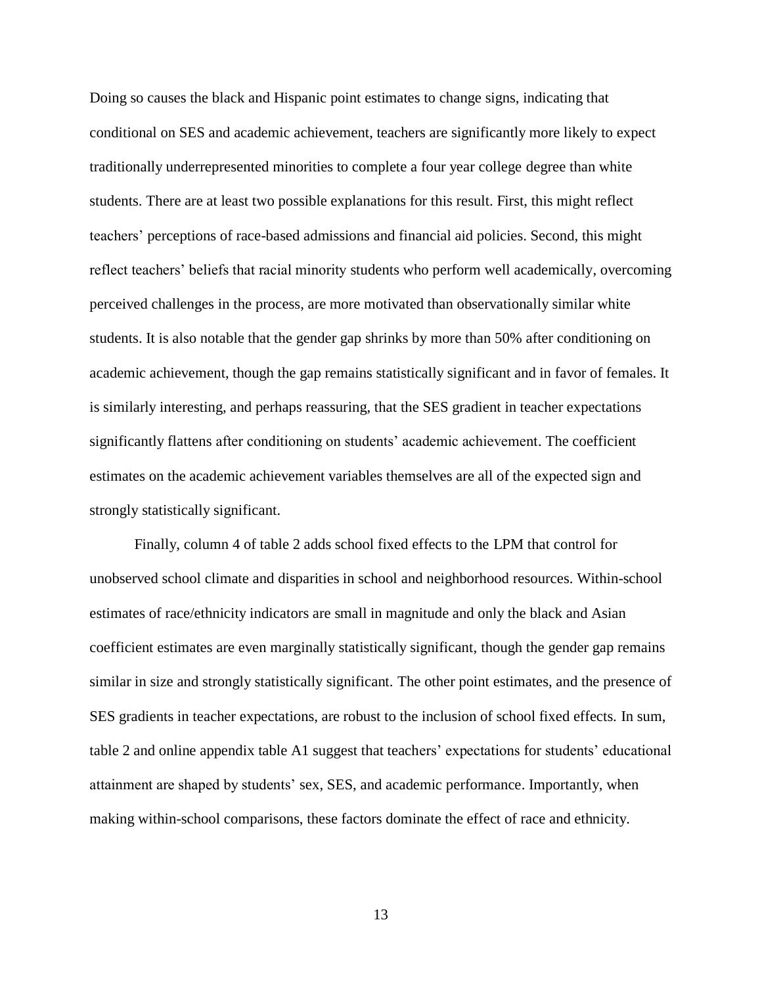Doing so causes the black and Hispanic point estimates to change signs, indicating that conditional on SES and academic achievement, teachers are significantly more likely to expect traditionally underrepresented minorities to complete a four year college degree than white students. There are at least two possible explanations for this result. First, this might reflect teachers' perceptions of race-based admissions and financial aid policies. Second, this might reflect teachers' beliefs that racial minority students who perform well academically, overcoming perceived challenges in the process, are more motivated than observationally similar white students. It is also notable that the gender gap shrinks by more than 50% after conditioning on academic achievement, though the gap remains statistically significant and in favor of females. It is similarly interesting, and perhaps reassuring, that the SES gradient in teacher expectations significantly flattens after conditioning on students' academic achievement. The coefficient estimates on the academic achievement variables themselves are all of the expected sign and strongly statistically significant.

Finally, column 4 of table 2 adds school fixed effects to the LPM that control for unobserved school climate and disparities in school and neighborhood resources. Within-school estimates of race/ethnicity indicators are small in magnitude and only the black and Asian coefficient estimates are even marginally statistically significant, though the gender gap remains similar in size and strongly statistically significant. The other point estimates, and the presence of SES gradients in teacher expectations, are robust to the inclusion of school fixed effects. In sum, table 2 and online appendix table A1 suggest that teachers' expectations for students' educational attainment are shaped by students' sex, SES, and academic performance. Importantly, when making within-school comparisons, these factors dominate the effect of race and ethnicity.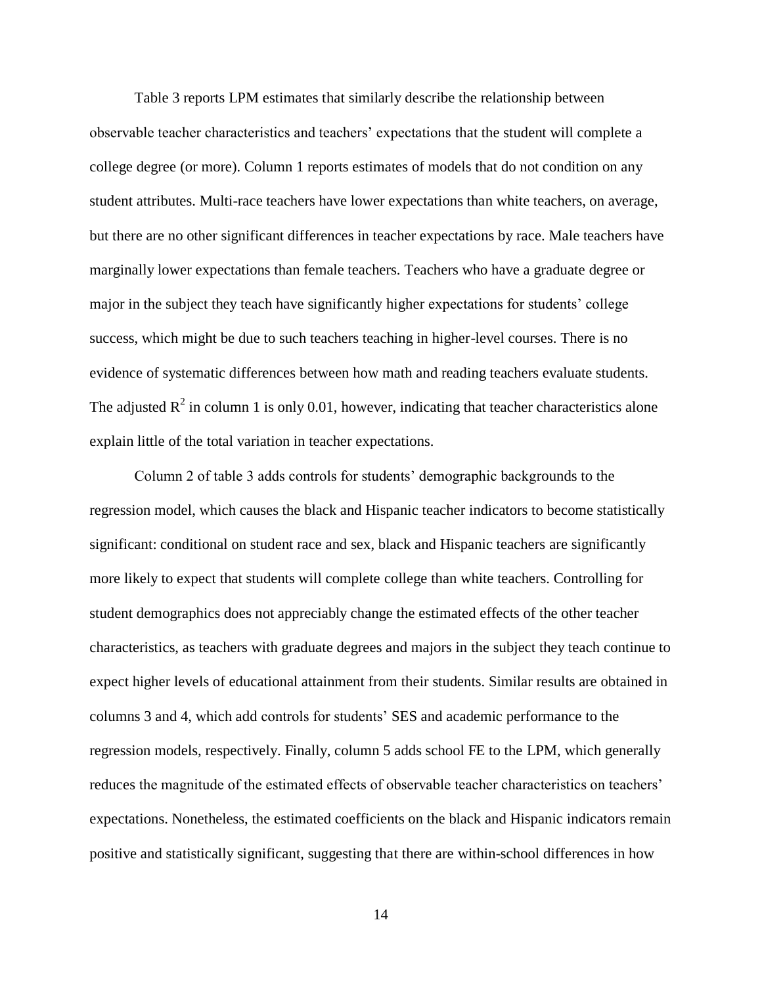Table 3 reports LPM estimates that similarly describe the relationship between observable teacher characteristics and teachers' expectations that the student will complete a college degree (or more). Column 1 reports estimates of models that do not condition on any student attributes. Multi-race teachers have lower expectations than white teachers, on average, but there are no other significant differences in teacher expectations by race. Male teachers have marginally lower expectations than female teachers. Teachers who have a graduate degree or major in the subject they teach have significantly higher expectations for students' college success, which might be due to such teachers teaching in higher-level courses. There is no evidence of systematic differences between how math and reading teachers evaluate students. The adjusted  $R^2$  in column 1 is only 0.01, however, indicating that teacher characteristics alone explain little of the total variation in teacher expectations.

Column 2 of table 3 adds controls for students' demographic backgrounds to the regression model, which causes the black and Hispanic teacher indicators to become statistically significant: conditional on student race and sex, black and Hispanic teachers are significantly more likely to expect that students will complete college than white teachers. Controlling for student demographics does not appreciably change the estimated effects of the other teacher characteristics, as teachers with graduate degrees and majors in the subject they teach continue to expect higher levels of educational attainment from their students. Similar results are obtained in columns 3 and 4, which add controls for students' SES and academic performance to the regression models, respectively. Finally, column 5 adds school FE to the LPM, which generally reduces the magnitude of the estimated effects of observable teacher characteristics on teachers' expectations. Nonetheless, the estimated coefficients on the black and Hispanic indicators remain positive and statistically significant, suggesting that there are within-school differences in how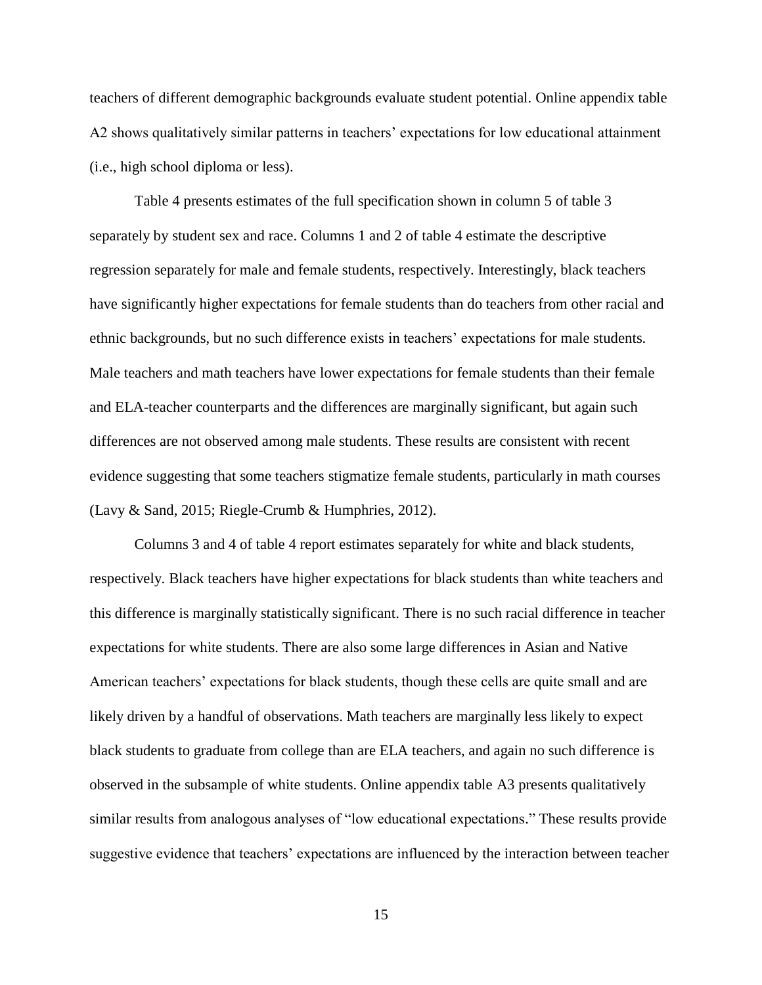teachers of different demographic backgrounds evaluate student potential. Online appendix table A2 shows qualitatively similar patterns in teachers' expectations for low educational attainment (i.e., high school diploma or less).

Table 4 presents estimates of the full specification shown in column 5 of table 3 separately by student sex and race. Columns 1 and 2 of table 4 estimate the descriptive regression separately for male and female students, respectively. Interestingly, black teachers have significantly higher expectations for female students than do teachers from other racial and ethnic backgrounds, but no such difference exists in teachers' expectations for male students. Male teachers and math teachers have lower expectations for female students than their female and ELA-teacher counterparts and the differences are marginally significant, but again such differences are not observed among male students. These results are consistent with recent evidence suggesting that some teachers stigmatize female students, particularly in math courses (Lavy & Sand, 2015; Riegle-Crumb & Humphries, 2012).

Columns 3 and 4 of table 4 report estimates separately for white and black students, respectively. Black teachers have higher expectations for black students than white teachers and this difference is marginally statistically significant. There is no such racial difference in teacher expectations for white students. There are also some large differences in Asian and Native American teachers' expectations for black students, though these cells are quite small and are likely driven by a handful of observations. Math teachers are marginally less likely to expect black students to graduate from college than are ELA teachers, and again no such difference is observed in the subsample of white students. Online appendix table A3 presents qualitatively similar results from analogous analyses of "low educational expectations." These results provide suggestive evidence that teachers' expectations are influenced by the interaction between teacher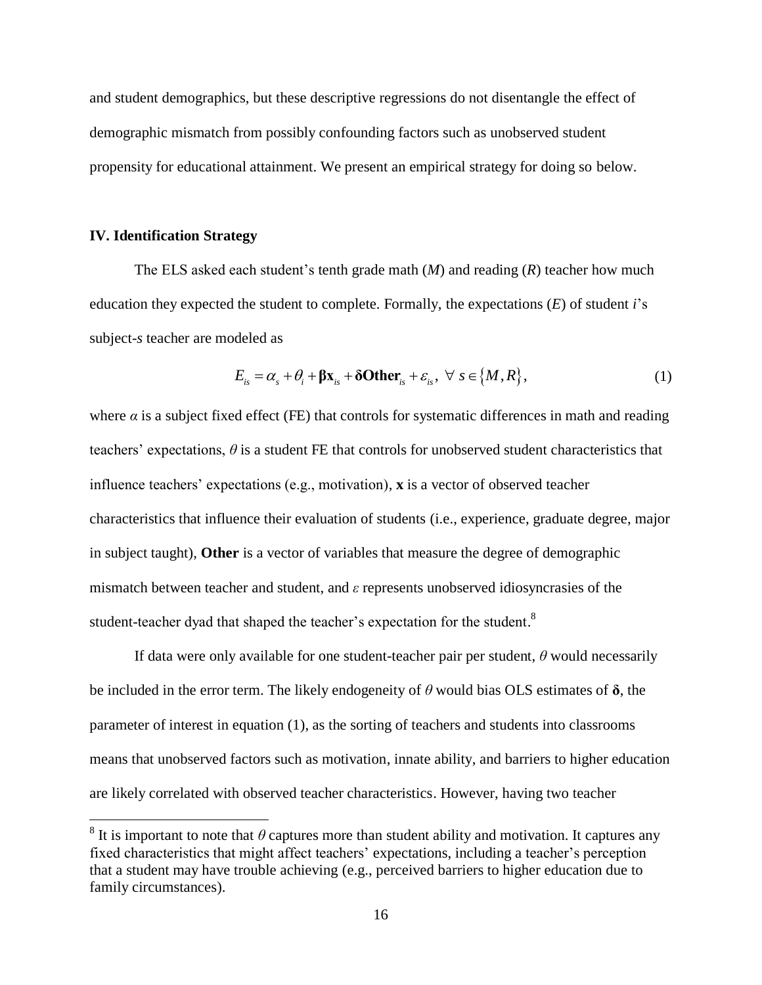and student demographics, but these descriptive regressions do not disentangle the effect of demographic mismatch from possibly confounding factors such as unobserved student propensity for educational attainment. We present an empirical strategy for doing so below.

#### **IV. Identification Strategy**

 $\overline{a}$ 

The ELS asked each student's tenth grade math (*M*) and reading (*R*) teacher how much education they expected the student to complete. Formally, the expectations (*E*) of student *i*'s subject-*s* teacher are modeled as

$$
E_{is} = \alpha_s + \theta_i + \beta x_{is} + \delta \text{Other}_{is} + \varepsilon_{is}, \ \forall \ s \in \{M, R\},\tag{1}
$$

where  $\alpha$  is a subject fixed effect (FE) that controls for systematic differences in math and reading teachers' expectations,  $\theta$  is a student FE that controls for unobserved student characteristics that influence teachers' expectations (e.g., motivation), **x** is a vector of observed teacher characteristics that influence their evaluation of students (i.e., experience, graduate degree, major in subject taught), **Other** is a vector of variables that measure the degree of demographic mismatch between teacher and student, and *ε* represents unobserved idiosyncrasies of the student-teacher dyad that shaped the teacher's expectation for the student.<sup>8</sup>

If data were only available for one student-teacher pair per student, *θ* would necessarily be included in the error term. The likely endogeneity of *θ* would bias OLS estimates of **δ**, the parameter of interest in equation (1), as the sorting of teachers and students into classrooms means that unobserved factors such as motivation, innate ability, and barriers to higher education are likely correlated with observed teacher characteristics. However, having two teacher

<sup>&</sup>lt;sup>8</sup> It is important to note that  $\theta$  captures more than student ability and motivation. It captures any fixed characteristics that might affect teachers' expectations, including a teacher's perception that a student may have trouble achieving (e.g., perceived barriers to higher education due to family circumstances).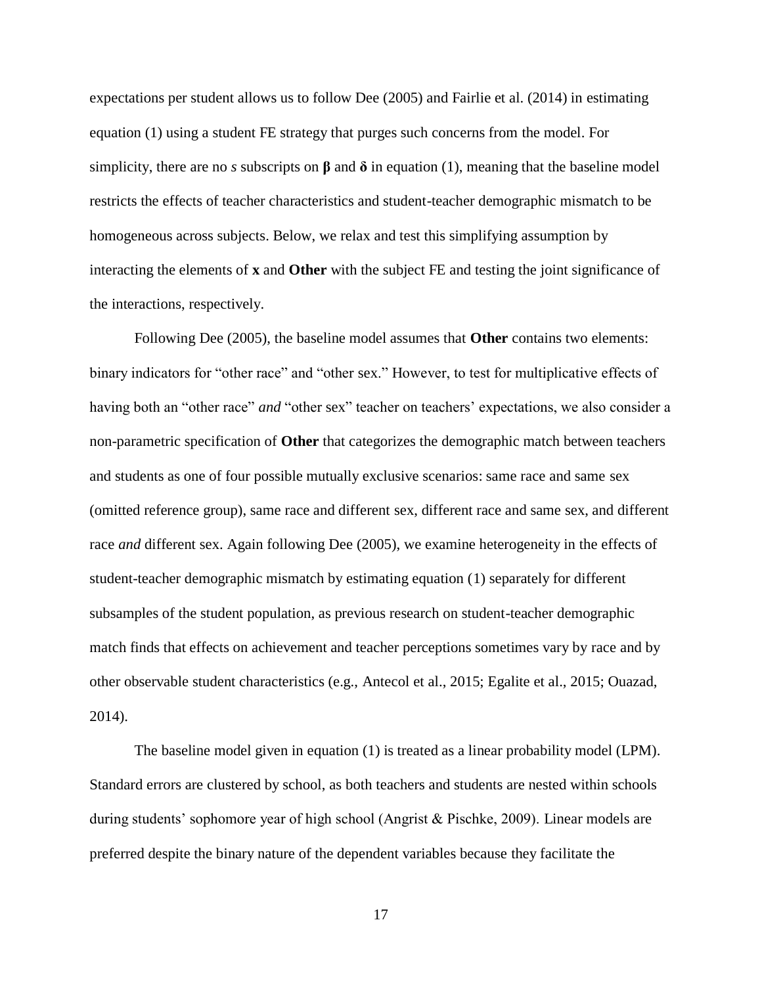expectations per student allows us to follow Dee (2005) and Fairlie et al. (2014) in estimating equation (1) using a student FE strategy that purges such concerns from the model. For simplicity, there are no *s* subscripts on  $\beta$  and  $\delta$  in equation (1), meaning that the baseline model restricts the effects of teacher characteristics and student-teacher demographic mismatch to be homogeneous across subjects. Below, we relax and test this simplifying assumption by interacting the elements of **x** and **Other** with the subject FE and testing the joint significance of the interactions, respectively.

Following Dee (2005), the baseline model assumes that **Other** contains two elements: binary indicators for "other race" and "other sex." However, to test for multiplicative effects of having both an "other race" *and* "other sex" teacher on teachers' expectations, we also consider a non-parametric specification of **Other** that categorizes the demographic match between teachers and students as one of four possible mutually exclusive scenarios: same race and same sex (omitted reference group), same race and different sex, different race and same sex, and different race *and* different sex. Again following Dee (2005), we examine heterogeneity in the effects of student-teacher demographic mismatch by estimating equation (1) separately for different subsamples of the student population, as previous research on student-teacher demographic match finds that effects on achievement and teacher perceptions sometimes vary by race and by other observable student characteristics (e.g., Antecol et al., 2015; Egalite et al., 2015; Ouazad, 2014).

The baseline model given in equation (1) is treated as a linear probability model (LPM). Standard errors are clustered by school, as both teachers and students are nested within schools during students' sophomore year of high school (Angrist & Pischke, 2009). Linear models are preferred despite the binary nature of the dependent variables because they facilitate the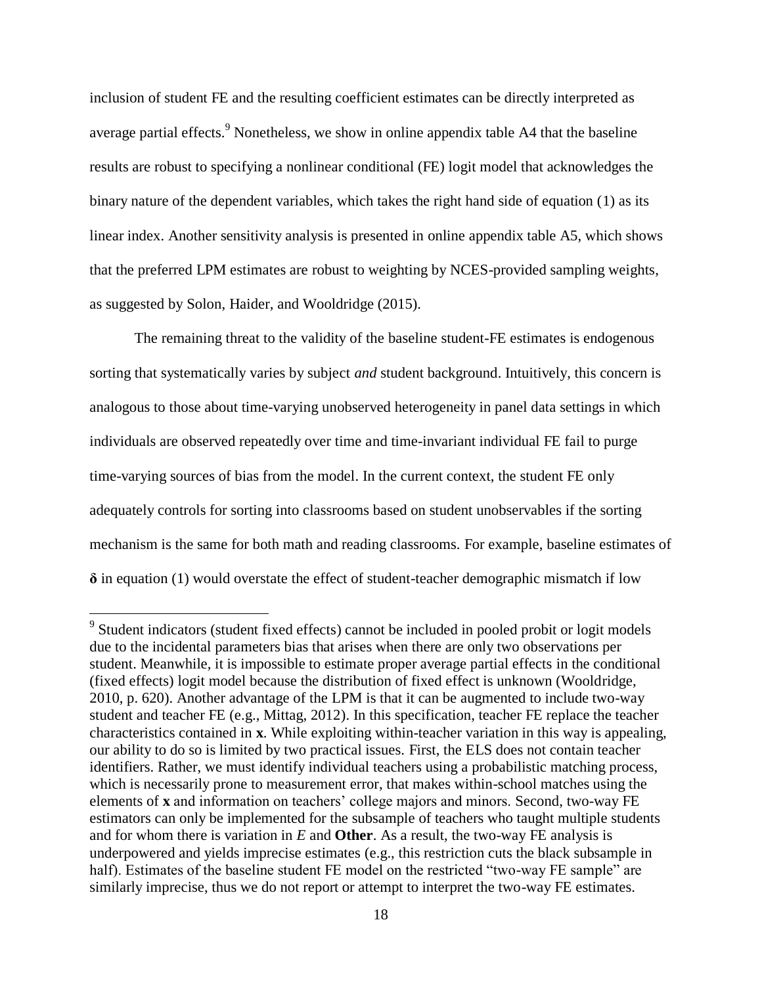inclusion of student FE and the resulting coefficient estimates can be directly interpreted as average partial effects.<sup>9</sup> Nonetheless, we show in online appendix table A4 that the baseline results are robust to specifying a nonlinear conditional (FE) logit model that acknowledges the binary nature of the dependent variables, which takes the right hand side of equation (1) as its linear index. Another sensitivity analysis is presented in online appendix table A5, which shows that the preferred LPM estimates are robust to weighting by NCES-provided sampling weights, as suggested by Solon, Haider, and Wooldridge (2015).

The remaining threat to the validity of the baseline student-FE estimates is endogenous sorting that systematically varies by subject *and* student background. Intuitively, this concern is analogous to those about time-varying unobserved heterogeneity in panel data settings in which individuals are observed repeatedly over time and time-invariant individual FE fail to purge time-varying sources of bias from the model. In the current context, the student FE only adequately controls for sorting into classrooms based on student unobservables if the sorting mechanism is the same for both math and reading classrooms. For example, baseline estimates of **δ** in equation (1) would overstate the effect of student-teacher demographic mismatch if low

 $\overline{a}$ 

<sup>&</sup>lt;sup>9</sup> Student indicators (student fixed effects) cannot be included in pooled probit or logit models due to the incidental parameters bias that arises when there are only two observations per student. Meanwhile, it is impossible to estimate proper average partial effects in the conditional (fixed effects) logit model because the distribution of fixed effect is unknown (Wooldridge, 2010, p. 620). Another advantage of the LPM is that it can be augmented to include two-way student and teacher FE (e.g., Mittag, 2012). In this specification, teacher FE replace the teacher characteristics contained in **x**. While exploiting within-teacher variation in this way is appealing, our ability to do so is limited by two practical issues. First, the ELS does not contain teacher identifiers. Rather, we must identify individual teachers using a probabilistic matching process, which is necessarily prone to measurement error, that makes within-school matches using the elements of **x** and information on teachers' college majors and minors. Second, two-way FE estimators can only be implemented for the subsample of teachers who taught multiple students and for whom there is variation in *E* and **Other**. As a result, the two-way FE analysis is underpowered and yields imprecise estimates (e.g., this restriction cuts the black subsample in half). Estimates of the baseline student FE model on the restricted "two-way FE sample" are similarly imprecise, thus we do not report or attempt to interpret the two-way FE estimates.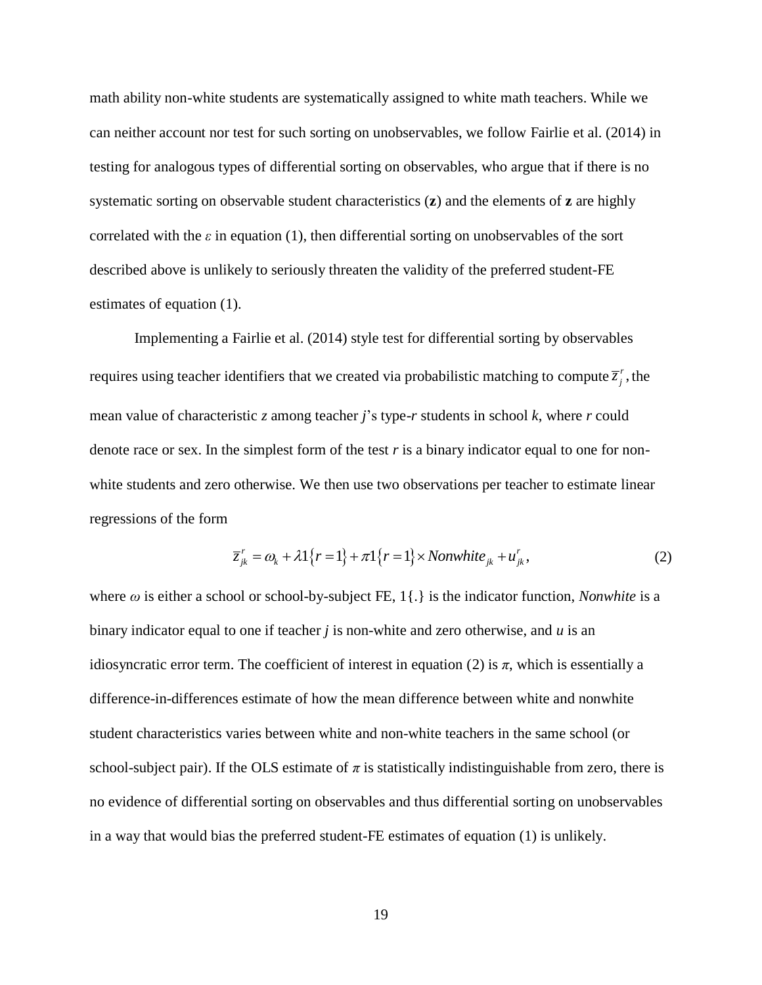math ability non-white students are systematically assigned to white math teachers. While we can neither account nor test for such sorting on unobservables, we follow Fairlie et al. (2014) in testing for analogous types of differential sorting on observables, who argue that if there is no systematic sorting on observable student characteristics (**z**) and the elements of **z** are highly correlated with the  $\varepsilon$  in equation (1), then differential sorting on unobservables of the sort described above is unlikely to seriously threaten the validity of the preferred student-FE estimates of equation (1).

Implementing a Fairlie et al. (2014) style test for differential sorting by observables requires using teacher identifiers that we created via probabilistic matching to compute  $\overline{z}_i^r$ ,  $\overline{z}_j^r$ , the mean value of characteristic *z* among teacher *j*'s type-*r* students in school *k*, where *r* could denote race or sex. In the simplest form of the test  $r$  is a binary indicator equal to one for nonwhite students and zero otherwise. We then use two observations per teacher to estimate linear regressions of the form

$$
\overline{z}_{jk}^{r} = \omega_{k} + \lambda 1\{r = 1\} + \pi 1\{r = 1\} \times Nonwhite_{jk} + u_{jk}^{r},
$$
\n(2)

where  $\omega$  is either a school or school-by-subject FE, 1{ $\Omega$ } is the indicator function, *Nonwhite* is a binary indicator equal to one if teacher *j* is non-white and zero otherwise, and *u* is an idiosyncratic error term. The coefficient of interest in equation (2) is  $\pi$ , which is essentially a difference-in-differences estimate of how the mean difference between white and nonwhite student characteristics varies between white and non-white teachers in the same school (or school-subject pair). If the OLS estimate of  $\pi$  is statistically indistinguishable from zero, there is no evidence of differential sorting on observables and thus differential sorting on unobservables in a way that would bias the preferred student-FE estimates of equation (1) is unlikely.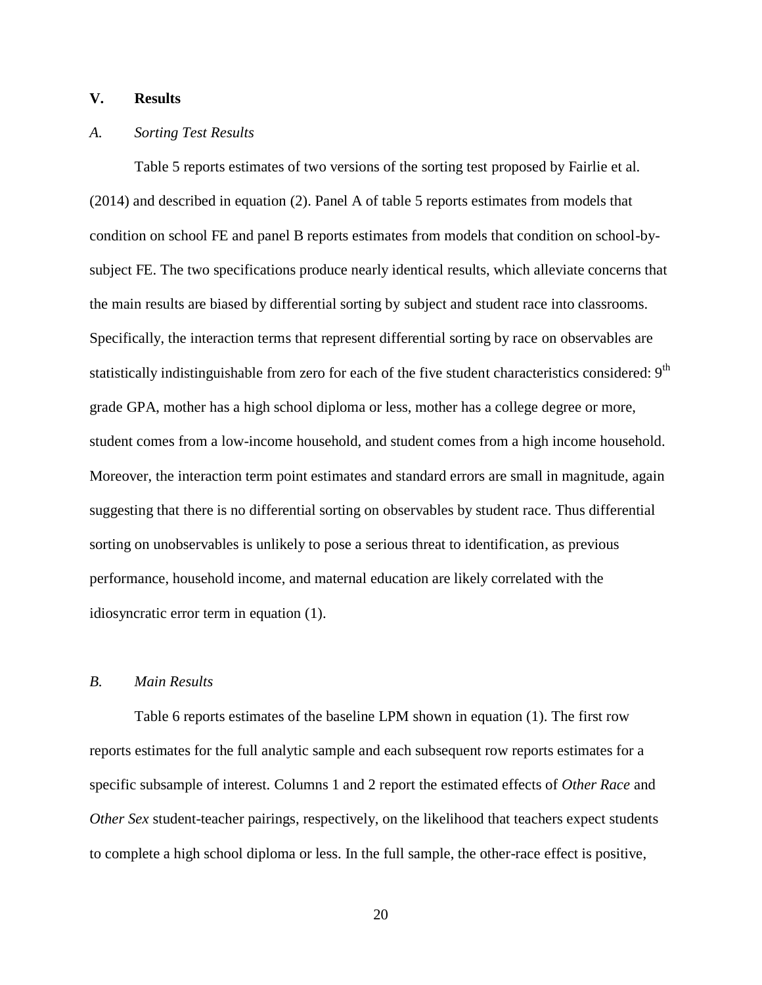### **V. Results**

#### *A. Sorting Test Results*

Table 5 reports estimates of two versions of the sorting test proposed by Fairlie et al. (2014) and described in equation (2). Panel A of table 5 reports estimates from models that condition on school FE and panel B reports estimates from models that condition on school-bysubject FE. The two specifications produce nearly identical results, which alleviate concerns that the main results are biased by differential sorting by subject and student race into classrooms. Specifically, the interaction terms that represent differential sorting by race on observables are statistically indistinguishable from zero for each of the five student characteristics considered: 9<sup>th</sup> grade GPA, mother has a high school diploma or less, mother has a college degree or more, student comes from a low-income household, and student comes from a high income household. Moreover, the interaction term point estimates and standard errors are small in magnitude, again suggesting that there is no differential sorting on observables by student race. Thus differential sorting on unobservables is unlikely to pose a serious threat to identification, as previous performance, household income, and maternal education are likely correlated with the idiosyncratic error term in equation (1).

#### *B. Main Results*

Table 6 reports estimates of the baseline LPM shown in equation (1). The first row reports estimates for the full analytic sample and each subsequent row reports estimates for a specific subsample of interest. Columns 1 and 2 report the estimated effects of *Other Race* and *Other Sex* student-teacher pairings, respectively, on the likelihood that teachers expect students to complete a high school diploma or less. In the full sample, the other-race effect is positive,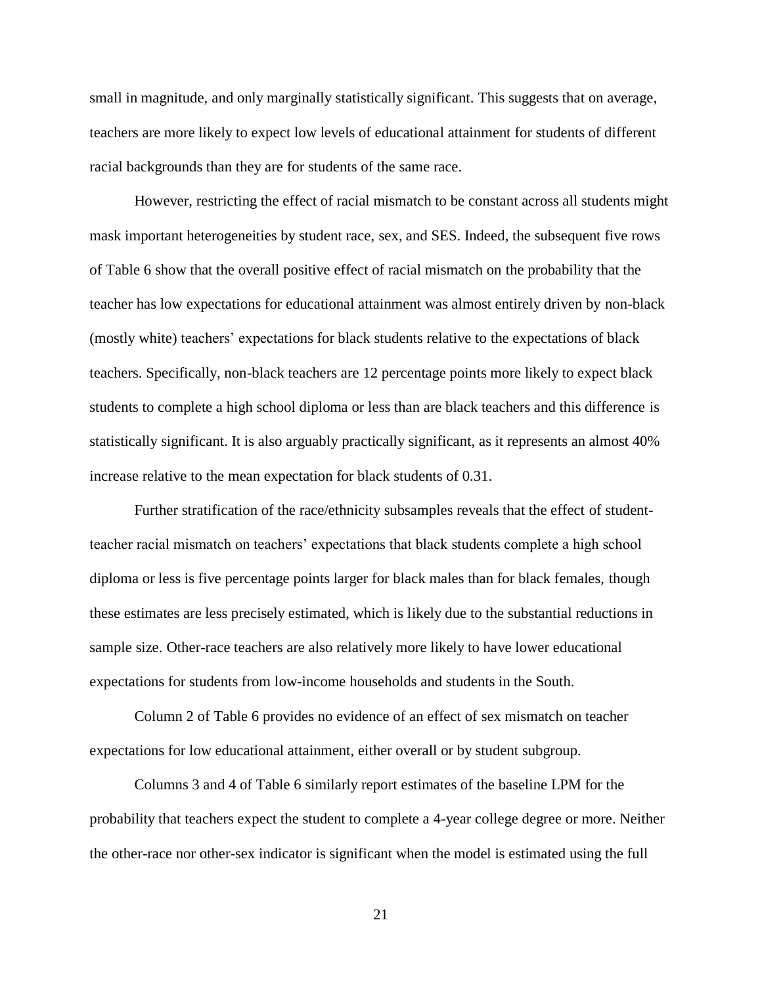small in magnitude, and only marginally statistically significant. This suggests that on average, teachers are more likely to expect low levels of educational attainment for students of different racial backgrounds than they are for students of the same race.

However, restricting the effect of racial mismatch to be constant across all students might mask important heterogeneities by student race, sex, and SES. Indeed, the subsequent five rows of Table 6 show that the overall positive effect of racial mismatch on the probability that the teacher has low expectations for educational attainment was almost entirely driven by non-black (mostly white) teachers' expectations for black students relative to the expectations of black teachers. Specifically, non-black teachers are 12 percentage points more likely to expect black students to complete a high school diploma or less than are black teachers and this difference is statistically significant. It is also arguably practically significant, as it represents an almost 40% increase relative to the mean expectation for black students of 0.31.

Further stratification of the race/ethnicity subsamples reveals that the effect of studentteacher racial mismatch on teachers' expectations that black students complete a high school diploma or less is five percentage points larger for black males than for black females, though these estimates are less precisely estimated, which is likely due to the substantial reductions in sample size. Other-race teachers are also relatively more likely to have lower educational expectations for students from low-income households and students in the South.

Column 2 of Table 6 provides no evidence of an effect of sex mismatch on teacher expectations for low educational attainment, either overall or by student subgroup.

Columns 3 and 4 of Table 6 similarly report estimates of the baseline LPM for the probability that teachers expect the student to complete a 4-year college degree or more. Neither the other-race nor other-sex indicator is significant when the model is estimated using the full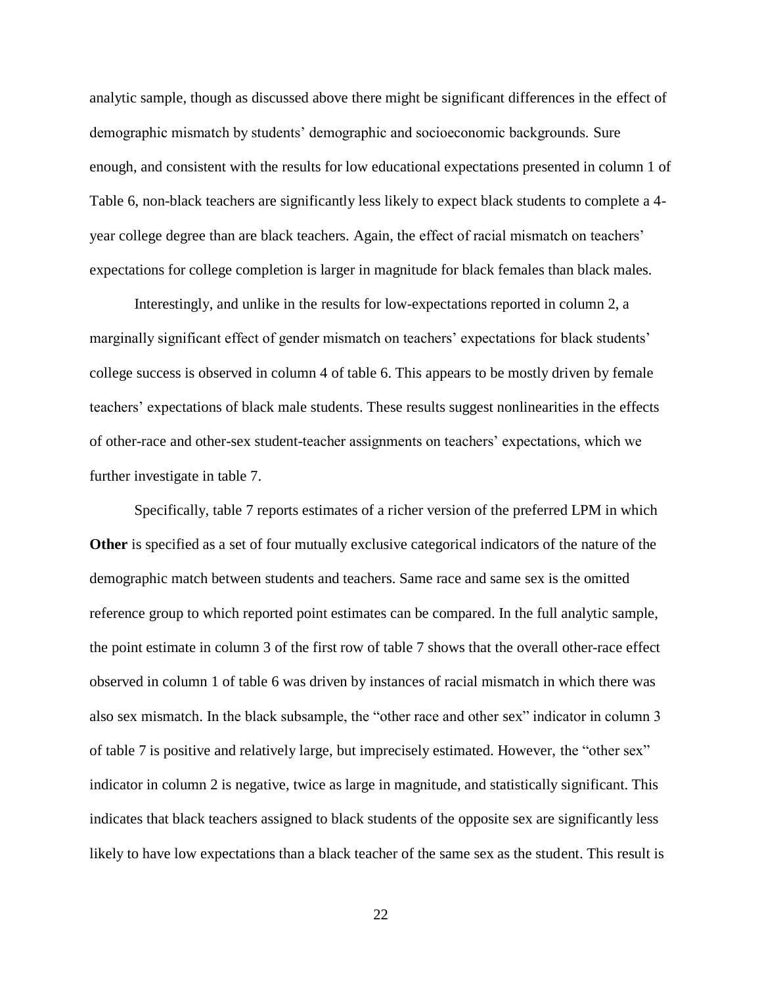analytic sample, though as discussed above there might be significant differences in the effect of demographic mismatch by students' demographic and socioeconomic backgrounds. Sure enough, and consistent with the results for low educational expectations presented in column 1 of Table 6, non-black teachers are significantly less likely to expect black students to complete a 4 year college degree than are black teachers. Again, the effect of racial mismatch on teachers' expectations for college completion is larger in magnitude for black females than black males.

Interestingly, and unlike in the results for low-expectations reported in column 2, a marginally significant effect of gender mismatch on teachers' expectations for black students' college success is observed in column 4 of table 6. This appears to be mostly driven by female teachers' expectations of black male students. These results suggest nonlinearities in the effects of other-race and other-sex student-teacher assignments on teachers' expectations, which we further investigate in table 7.

Specifically, table 7 reports estimates of a richer version of the preferred LPM in which **Other** is specified as a set of four mutually exclusive categorical indicators of the nature of the demographic match between students and teachers. Same race and same sex is the omitted reference group to which reported point estimates can be compared. In the full analytic sample, the point estimate in column 3 of the first row of table 7 shows that the overall other-race effect observed in column 1 of table 6 was driven by instances of racial mismatch in which there was also sex mismatch. In the black subsample, the "other race and other sex" indicator in column 3 of table 7 is positive and relatively large, but imprecisely estimated. However, the "other sex" indicator in column 2 is negative, twice as large in magnitude, and statistically significant. This indicates that black teachers assigned to black students of the opposite sex are significantly less likely to have low expectations than a black teacher of the same sex as the student. This result is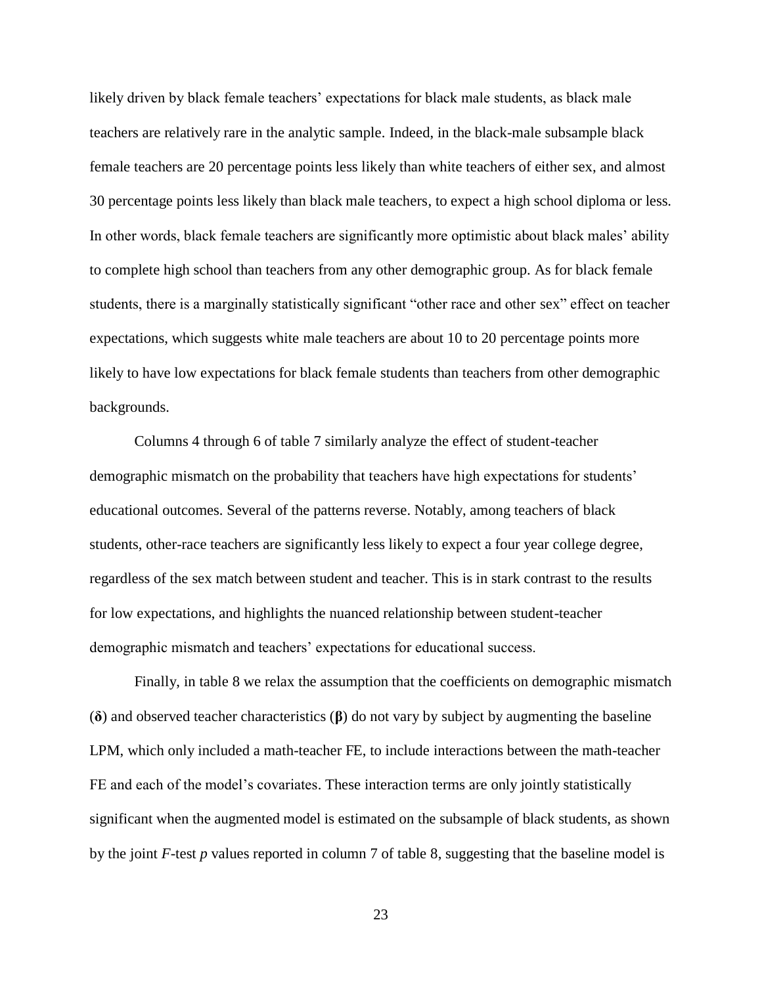likely driven by black female teachers' expectations for black male students, as black male teachers are relatively rare in the analytic sample. Indeed, in the black-male subsample black female teachers are 20 percentage points less likely than white teachers of either sex, and almost 30 percentage points less likely than black male teachers, to expect a high school diploma or less. In other words, black female teachers are significantly more optimistic about black males' ability to complete high school than teachers from any other demographic group. As for black female students, there is a marginally statistically significant "other race and other sex" effect on teacher expectations, which suggests white male teachers are about 10 to 20 percentage points more likely to have low expectations for black female students than teachers from other demographic backgrounds.

Columns 4 through 6 of table 7 similarly analyze the effect of student-teacher demographic mismatch on the probability that teachers have high expectations for students' educational outcomes. Several of the patterns reverse. Notably, among teachers of black students, other-race teachers are significantly less likely to expect a four year college degree, regardless of the sex match between student and teacher. This is in stark contrast to the results for low expectations, and highlights the nuanced relationship between student-teacher demographic mismatch and teachers' expectations for educational success.

Finally, in table 8 we relax the assumption that the coefficients on demographic mismatch (**δ**) and observed teacher characteristics (**β**) do not vary by subject by augmenting the baseline LPM, which only included a math-teacher FE, to include interactions between the math-teacher FE and each of the model's covariates. These interaction terms are only jointly statistically significant when the augmented model is estimated on the subsample of black students, as shown by the joint *F*-test *p* values reported in column 7 of table 8, suggesting that the baseline model is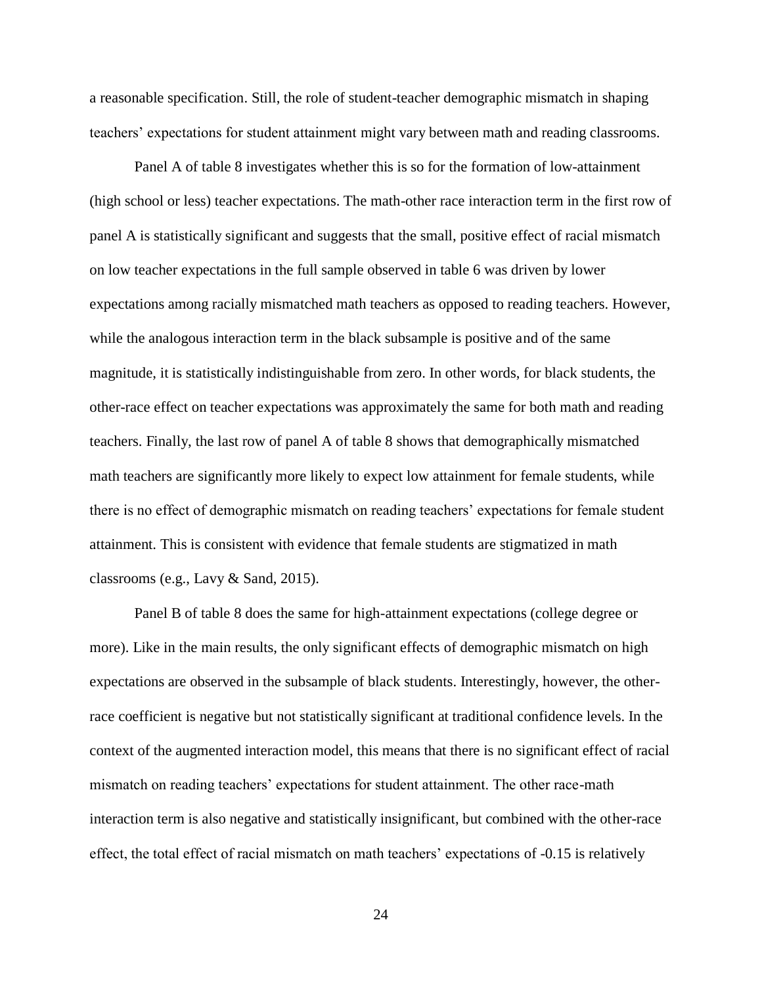a reasonable specification. Still, the role of student-teacher demographic mismatch in shaping teachers' expectations for student attainment might vary between math and reading classrooms.

Panel A of table 8 investigates whether this is so for the formation of low-attainment (high school or less) teacher expectations. The math-other race interaction term in the first row of panel A is statistically significant and suggests that the small, positive effect of racial mismatch on low teacher expectations in the full sample observed in table 6 was driven by lower expectations among racially mismatched math teachers as opposed to reading teachers. However, while the analogous interaction term in the black subsample is positive and of the same magnitude, it is statistically indistinguishable from zero. In other words, for black students, the other-race effect on teacher expectations was approximately the same for both math and reading teachers. Finally, the last row of panel A of table 8 shows that demographically mismatched math teachers are significantly more likely to expect low attainment for female students, while there is no effect of demographic mismatch on reading teachers' expectations for female student attainment. This is consistent with evidence that female students are stigmatized in math classrooms (e.g., Lavy & Sand, 2015).

Panel B of table 8 does the same for high-attainment expectations (college degree or more). Like in the main results, the only significant effects of demographic mismatch on high expectations are observed in the subsample of black students. Interestingly, however, the otherrace coefficient is negative but not statistically significant at traditional confidence levels. In the context of the augmented interaction model, this means that there is no significant effect of racial mismatch on reading teachers' expectations for student attainment. The other race-math interaction term is also negative and statistically insignificant, but combined with the other-race effect, the total effect of racial mismatch on math teachers' expectations of -0.15 is relatively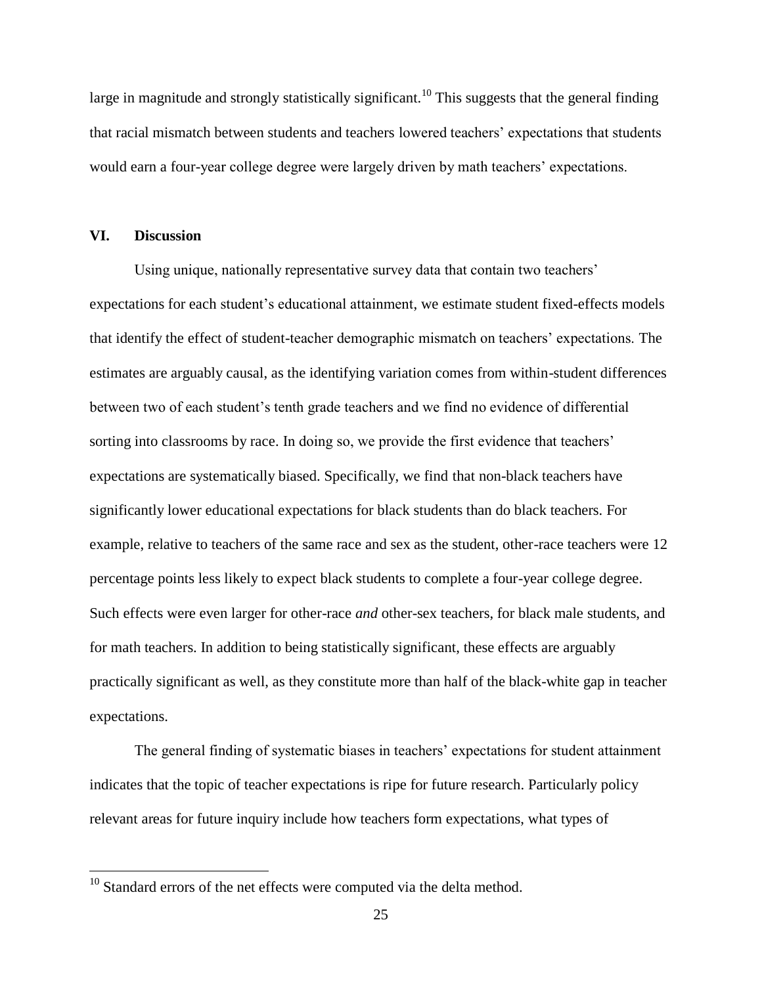large in magnitude and strongly statistically significant.<sup>10</sup> This suggests that the general finding that racial mismatch between students and teachers lowered teachers' expectations that students would earn a four-year college degree were largely driven by math teachers' expectations.

### **VI. Discussion**

 $\overline{a}$ 

Using unique, nationally representative survey data that contain two teachers' expectations for each student's educational attainment, we estimate student fixed-effects models that identify the effect of student-teacher demographic mismatch on teachers' expectations. The estimates are arguably causal, as the identifying variation comes from within-student differences between two of each student's tenth grade teachers and we find no evidence of differential sorting into classrooms by race. In doing so, we provide the first evidence that teachers' expectations are systematically biased. Specifically, we find that non-black teachers have significantly lower educational expectations for black students than do black teachers. For example, relative to teachers of the same race and sex as the student, other-race teachers were 12 percentage points less likely to expect black students to complete a four-year college degree. Such effects were even larger for other-race *and* other-sex teachers, for black male students, and for math teachers. In addition to being statistically significant, these effects are arguably practically significant as well, as they constitute more than half of the black-white gap in teacher expectations.

The general finding of systematic biases in teachers' expectations for student attainment indicates that the topic of teacher expectations is ripe for future research. Particularly policy relevant areas for future inquiry include how teachers form expectations, what types of

 $10$  Standard errors of the net effects were computed via the delta method.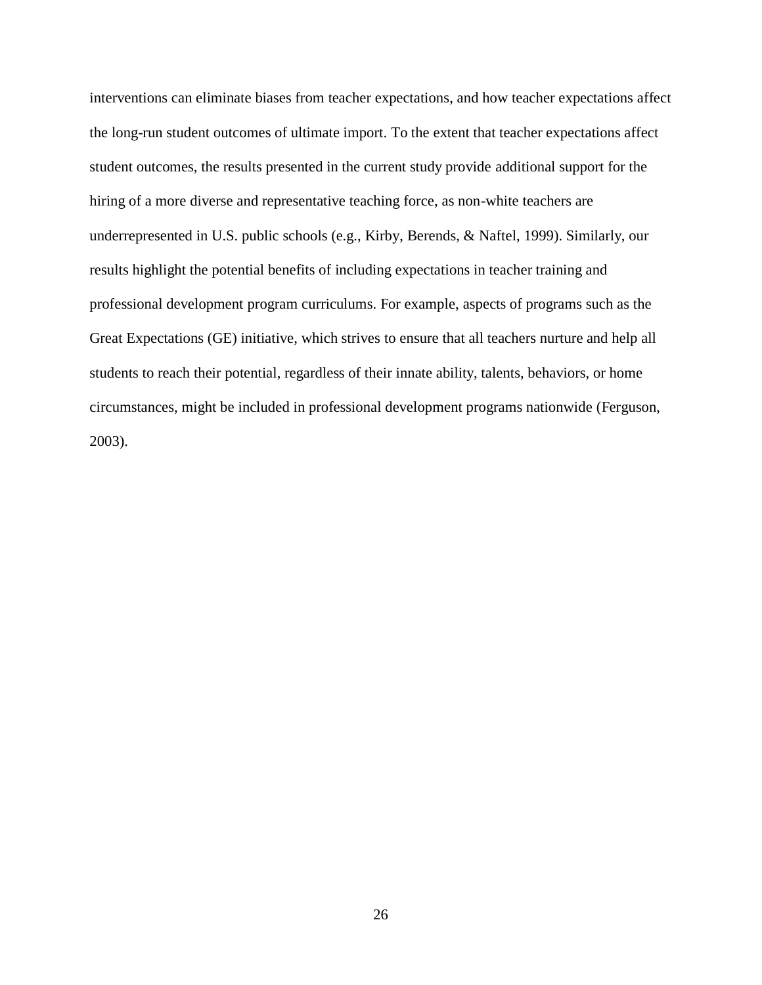interventions can eliminate biases from teacher expectations, and how teacher expectations affect the long-run student outcomes of ultimate import. To the extent that teacher expectations affect student outcomes, the results presented in the current study provide additional support for the hiring of a more diverse and representative teaching force, as non-white teachers are underrepresented in U.S. public schools (e.g., Kirby, Berends, & Naftel, 1999). Similarly, our results highlight the potential benefits of including expectations in teacher training and professional development program curriculums. For example, aspects of programs such as the Great Expectations (GE) initiative, which strives to ensure that all teachers nurture and help all students to reach their potential, regardless of their innate ability, talents, behaviors, or home circumstances, might be included in professional development programs nationwide (Ferguson, 2003).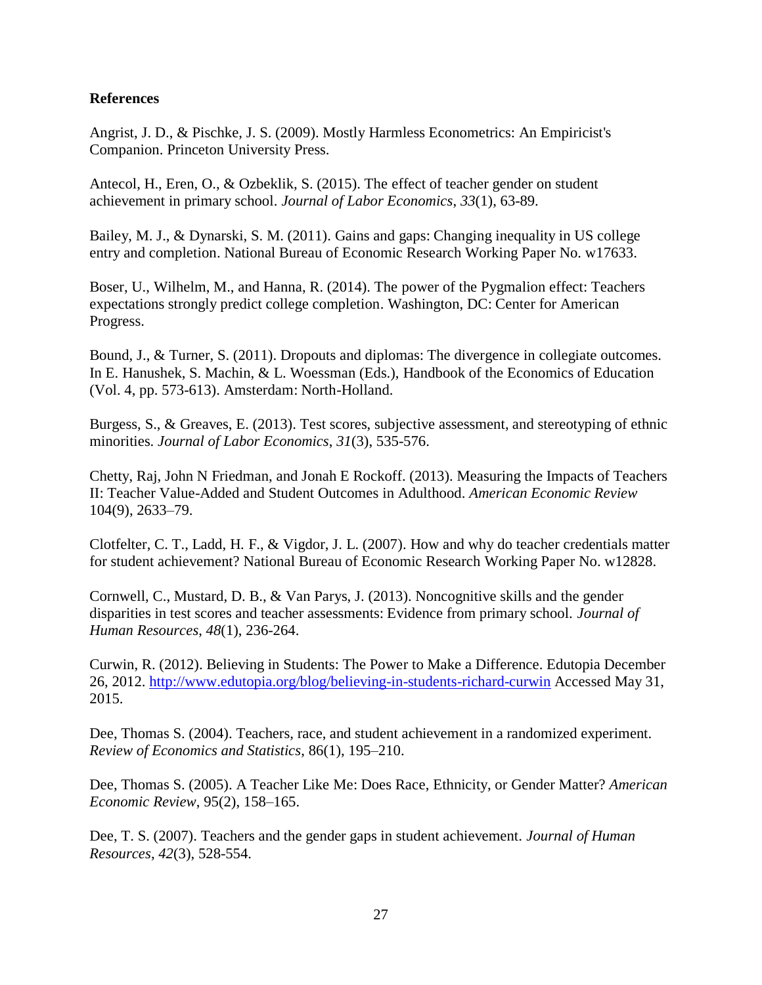### **References**

Angrist, J. D., & Pischke, J. S. (2009). Mostly Harmless Econometrics: An Empiricist's Companion. Princeton University Press.

Antecol, H., Eren, O., & Ozbeklik, S. (2015). The effect of teacher gender on student achievement in primary school. *Journal of Labor Economics*, *33*(1), 63-89.

Bailey, M. J., & Dynarski, S. M. (2011). Gains and gaps: Changing inequality in US college entry and completion. National Bureau of Economic Research Working Paper No. w17633.

Boser, U., Wilhelm, M., and Hanna, R. (2014). The power of the Pygmalion effect: Teachers expectations strongly predict college completion. Washington, DC: Center for American Progress.

Bound, J., & Turner, S. (2011). Dropouts and diplomas: The divergence in collegiate outcomes. In E. Hanushek, S. Machin, & L. Woessman (Eds.), Handbook of the Economics of Education (Vol. 4, pp. 573-613). Amsterdam: North-Holland.

Burgess, S., & Greaves, E. (2013). Test scores, subjective assessment, and stereotyping of ethnic minorities. *Journal of Labor Economics*, *31*(3), 535-576.

Chetty, Raj, John N Friedman, and Jonah E Rockoff. (2013). Measuring the Impacts of Teachers II: Teacher Value-Added and Student Outcomes in Adulthood. *American Economic Review* 104(9), 2633–79.

Clotfelter, C. T., Ladd, H. F., & Vigdor, J. L. (2007). How and why do teacher credentials matter for student achievement? National Bureau of Economic Research Working Paper No. w12828.

Cornwell, C., Mustard, D. B., & Van Parys, J. (2013). Noncognitive skills and the gender disparities in test scores and teacher assessments: Evidence from primary school. *Journal of Human Resources*, *48*(1), 236-264.

Curwin, R. (2012). Believing in Students: The Power to Make a Difference. Edutopia December 26, 2012.<http://www.edutopia.org/blog/believing-in-students-richard-curwin> Accessed May 31, 2015.

Dee, Thomas S. (2004). Teachers, race, and student achievement in a randomized experiment. *Review of Economics and Statistics*, 86(1), 195–210.

Dee, Thomas S. (2005). A Teacher Like Me: Does Race, Ethnicity, or Gender Matter? *American Economic Review*, 95(2), 158–165.

Dee, T. S. (2007). Teachers and the gender gaps in student achievement. *Journal of Human Resources*, *42*(3), 528-554.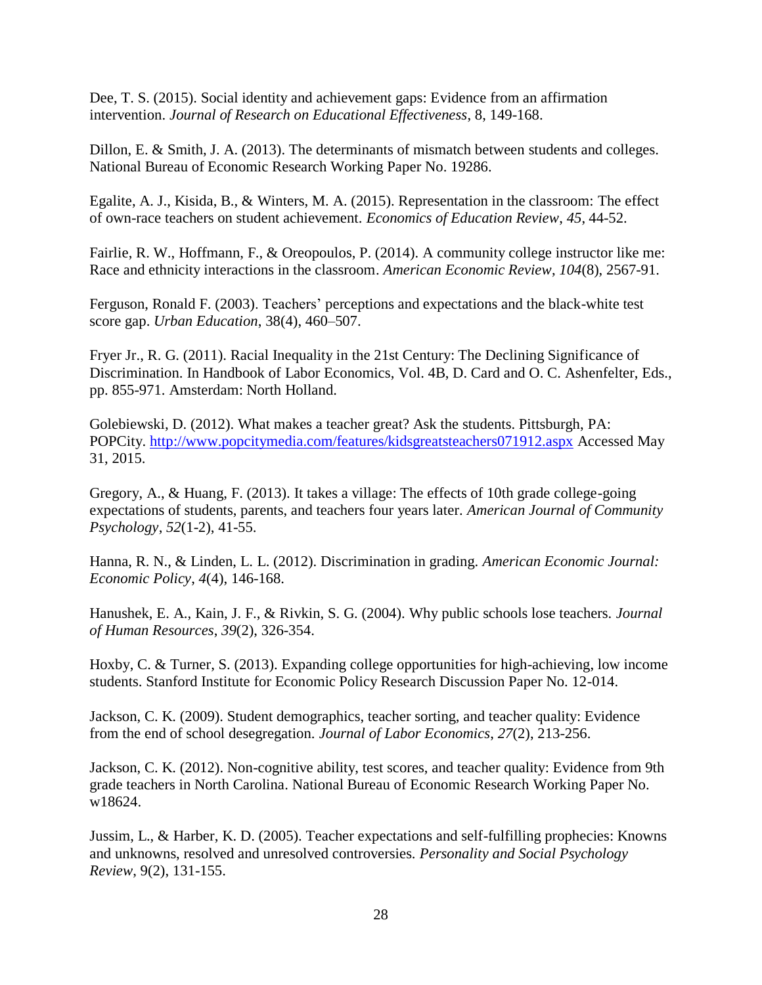Dee, T. S. (2015). Social identity and achievement gaps: Evidence from an affirmation intervention. *Journal of Research on Educational Effectiveness*, 8, 149-168.

Dillon, E. & Smith, J. A. (2013). The determinants of mismatch between students and colleges. National Bureau of Economic Research Working Paper No. 19286.

Egalite, A. J., Kisida, B., & Winters, M. A. (2015). Representation in the classroom: The effect of own-race teachers on student achievement. *Economics of Education Review*, *45*, 44-52.

Fairlie, R. W., Hoffmann, F., & Oreopoulos, P. (2014). A community college instructor like me: Race and ethnicity interactions in the classroom. *American Economic Review*, *104*(8), 2567-91.

Ferguson, Ronald F. (2003). Teachers' perceptions and expectations and the black-white test score gap. *Urban Education*, 38(4), 460–507.

Fryer Jr., R. G. (2011). Racial Inequality in the 21st Century: The Declining Significance of Discrimination. In Handbook of Labor Economics, Vol. 4B, D. Card and O. C. Ashenfelter, Eds., pp. 855-971. Amsterdam: North Holland.

Golebiewski, D. (2012). What makes a teacher great? Ask the students. Pittsburgh, PA: POPCity.<http://www.popcitymedia.com/features/kidsgreatsteachers071912.aspx> Accessed May 31, 2015.

Gregory, A., & Huang, F. (2013). It takes a village: The effects of 10th grade college-going expectations of students, parents, and teachers four years later. *American Journal of Community Psychology*, *52*(1-2), 41-55.

Hanna, R. N., & Linden, L. L. (2012). Discrimination in grading. *American Economic Journal: Economic Policy*, *4*(4), 146-168.

Hanushek, E. A., Kain, J. F., & Rivkin, S. G. (2004). Why public schools lose teachers. *Journal of Human Resources*, *39*(2), 326-354.

Hoxby, C. & Turner, S. (2013). Expanding college opportunities for high-achieving, low income students. Stanford Institute for Economic Policy Research Discussion Paper No. 12-014.

Jackson, C. K. (2009). Student demographics, teacher sorting, and teacher quality: Evidence from the end of school desegregation. *Journal of Labor Economics*, *27*(2), 213-256.

Jackson, C. K. (2012). Non-cognitive ability, test scores, and teacher quality: Evidence from 9th grade teachers in North Carolina. National Bureau of Economic Research Working Paper No. w18624.

Jussim, L., & Harber, K. D. (2005). Teacher expectations and self-fulfilling prophecies: Knowns and unknowns, resolved and unresolved controversies. *Personality and Social Psychology Review*, 9(2), 131-155.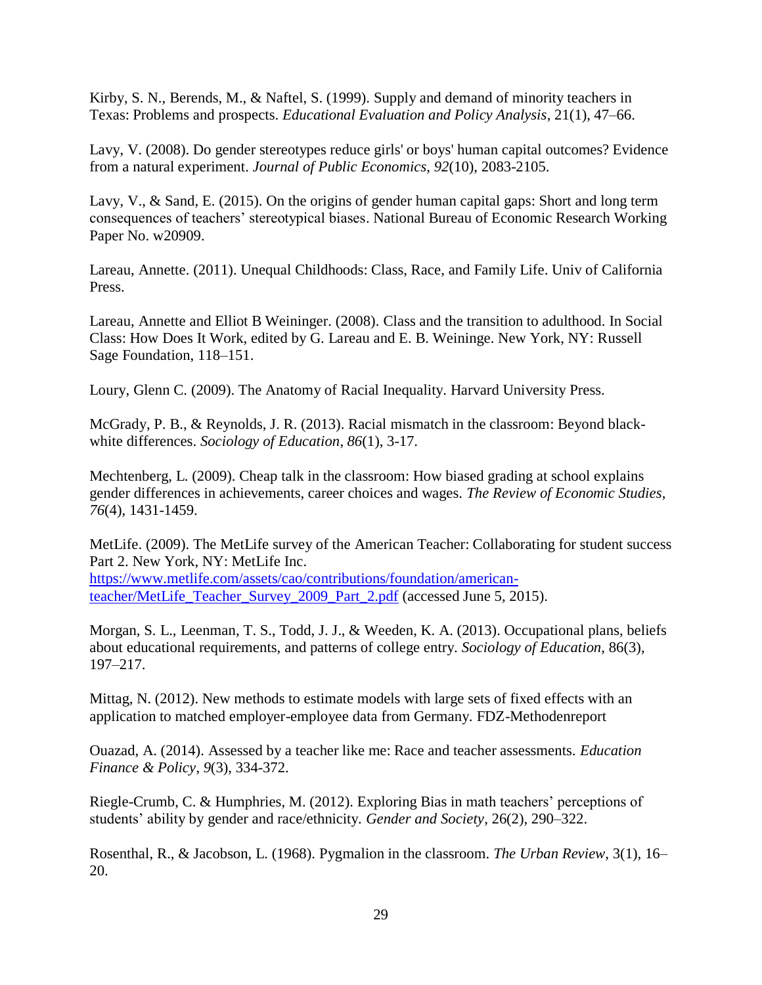Kirby, S. N., Berends, M., & Naftel, S. (1999). Supply and demand of minority teachers in Texas: Problems and prospects. *Educational Evaluation and Policy Analysis*, 21(1), 47–66.

Lavy, V. (2008). Do gender stereotypes reduce girls' or boys' human capital outcomes? Evidence from a natural experiment. *Journal of Public Economics*, *92*(10), 2083-2105.

Lavy, V., & Sand, E. (2015). On the origins of gender human capital gaps: Short and long term consequences of teachers' stereotypical biases. National Bureau of Economic Research Working Paper No. w20909.

Lareau, Annette. (2011). Unequal Childhoods: Class, Race, and Family Life. Univ of California Press.

Lareau, Annette and Elliot B Weininger. (2008). Class and the transition to adulthood. In Social Class: How Does It Work, edited by G. Lareau and E. B. Weininge. New York, NY: Russell Sage Foundation, 118–151.

Loury, Glenn C. (2009). The Anatomy of Racial Inequality. Harvard University Press.

McGrady, P. B., & Reynolds, J. R. (2013). Racial mismatch in the classroom: Beyond blackwhite differences. *Sociology of Education*, *86*(1), 3-17.

Mechtenberg, L. (2009). Cheap talk in the classroom: How biased grading at school explains gender differences in achievements, career choices and wages. *The Review of Economic Studies*, *76*(4), 1431-1459.

MetLife. (2009). The MetLife survey of the American Teacher: Collaborating for student success Part 2. New York, NY: MetLife Inc.

[https://www.metlife.com/assets/cao/contributions/foundation/american](https://www.metlife.com/assets/cao/contributions/foundation/american-teacher/MetLife_Teacher_Survey_2009_Part_2.pdf)teacher/MetLife Teacher Survey 2009 Part 2.pdf (accessed June 5, 2015).

Morgan, S. L., Leenman, T. S., Todd, J. J., & Weeden, K. A. (2013). Occupational plans, beliefs about educational requirements, and patterns of college entry. *Sociology of Education*, 86(3), 197–217.

Mittag, N. (2012). New methods to estimate models with large sets of fixed effects with an application to matched employer-employee data from Germany. FDZ-Methodenreport

Ouazad, A. (2014). Assessed by a teacher like me: Race and teacher assessments. *Education Finance & Policy*, *9*(3), 334-372.

Riegle-Crumb, C. & Humphries, M. (2012). Exploring Bias in math teachers' perceptions of students' ability by gender and race/ethnicity. *Gender and Society*, 26(2), 290–322.

Rosenthal, R., & Jacobson, L. (1968). Pygmalion in the classroom. *The Urban Review*, 3(1), 16– 20.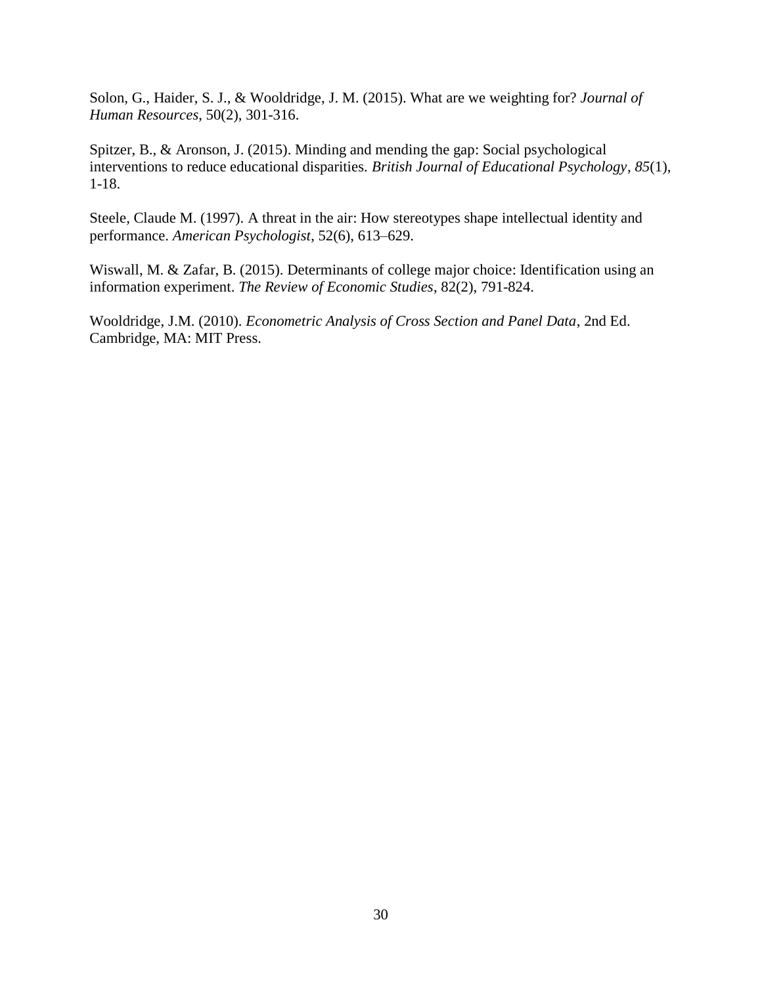Solon, G., Haider, S. J., & Wooldridge, J. M. (2015). What are we weighting for? *Journal of Human Resources*, 50(2), 301-316.

Spitzer, B., & Aronson, J. (2015). Minding and mending the gap: Social psychological interventions to reduce educational disparities. *British Journal of Educational Psychology*, *85*(1), 1-18.

Steele, Claude M. (1997). A threat in the air: How stereotypes shape intellectual identity and performance. *American Psychologist*, 52(6), 613–629.

Wiswall, M. & Zafar, B. (2015). Determinants of college major choice: Identification using an information experiment. *The Review of Economic Studies*, 82(2), 791-824.

Wooldridge, J.M. (2010). *Econometric Analysis of Cross Section and Panel Data*, 2nd Ed. Cambridge, MA: MIT Press.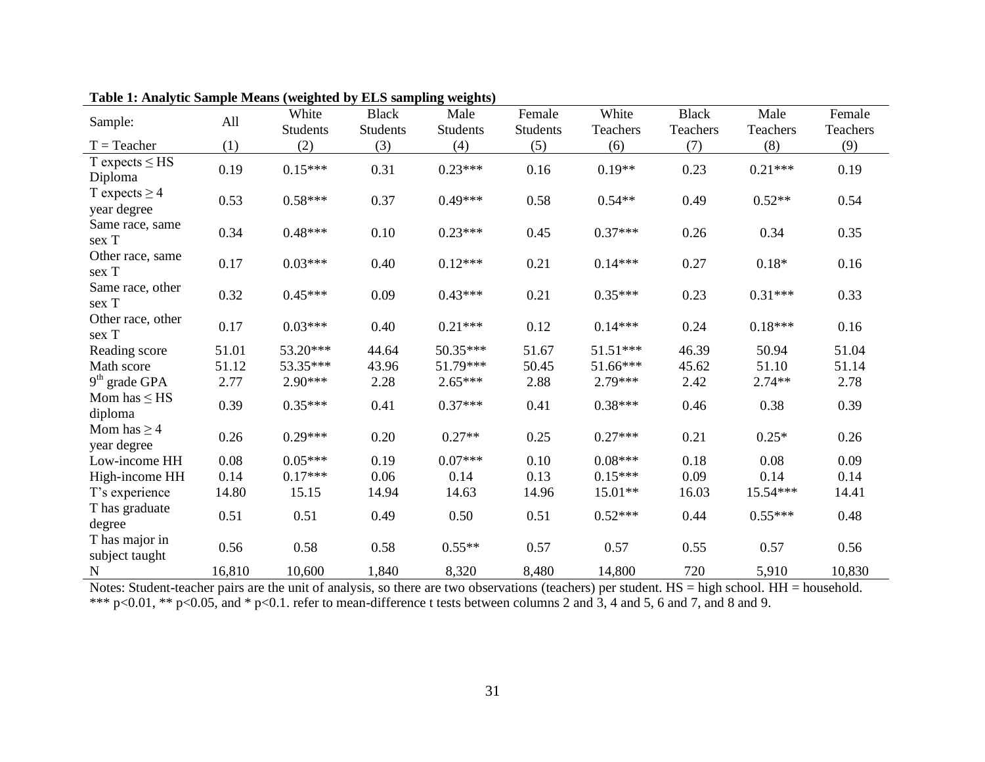| Sample:                           | All    | White<br><b>Students</b> | <b>Black</b><br><b>Students</b> | Male<br><b>Students</b> | Female<br><b>Students</b> | White<br>Teachers | <b>Black</b><br>Teachers | Male<br>Teachers | Female<br>Teachers |
|-----------------------------------|--------|--------------------------|---------------------------------|-------------------------|---------------------------|-------------------|--------------------------|------------------|--------------------|
| $T = Teacher$                     | (1)    | (2)                      | (3)                             | (4)                     | (5)                       | (6)               | (7)                      | (8)              | (9)                |
| $T$ expects $\leq$ HS<br>Diploma  | 0.19   | $0.15***$                | 0.31                            | $0.23***$               | 0.16                      | $0.19**$          | 0.23                     | $0.21***$        | 0.19               |
| T expects $\geq$ 4<br>year degree | 0.53   | $0.58***$                | 0.37                            | $0.49***$               | 0.58                      | $0.54**$          | 0.49                     | $0.52**$         | 0.54               |
| Same race, same<br>sex T          | 0.34   | $0.48***$                | 0.10                            | $0.23***$               | 0.45                      | $0.37***$         | 0.26                     | 0.34             | 0.35               |
| Other race, same<br>sex T         | 0.17   | $0.03***$                | 0.40                            | $0.12***$               | 0.21                      | $0.14***$         | 0.27                     | $0.18*$          | 0.16               |
| Same race, other<br>sex T         | 0.32   | $0.45***$                | 0.09                            | $0.43***$               | 0.21                      | $0.35***$         | 0.23                     | $0.31***$        | 0.33               |
| Other race, other<br>sex T        | 0.17   | $0.03***$                | 0.40                            | $0.21***$               | 0.12                      | $0.14***$         | 0.24                     | $0.18***$        | 0.16               |
| Reading score                     | 51.01  | 53.20***                 | 44.64                           | 50.35***                | 51.67                     | $51.51***$        | 46.39                    | 50.94            | 51.04              |
| Math score                        | 51.12  | 53.35***                 | 43.96                           | 51.79***                | 50.45                     | 51.66***          | 45.62                    | 51.10            | 51.14              |
| $9th$ grade GPA                   | 2.77   | $2.90***$                | 2.28                            | $2.65***$               | 2.88                      | 2.79***           | 2.42                     | $2.74**$         | 2.78               |
| Mom has $\leq$ HS<br>diploma      | 0.39   | $0.35***$                | 0.41                            | $0.37***$               | 0.41                      | $0.38***$         | 0.46                     | 0.38             | 0.39               |
| Mom has $\geq$ 4<br>year degree   | 0.26   | $0.29***$                | 0.20                            | $0.27**$                | 0.25                      | $0.27***$         | 0.21                     | $0.25*$          | 0.26               |
| Low-income HH                     | 0.08   | $0.05***$                | 0.19                            | $0.07***$               | 0.10                      | $0.08***$         | 0.18                     | 0.08             | 0.09               |
| High-income HH                    | 0.14   | $0.17***$                | 0.06                            | 0.14                    | 0.13                      | $0.15***$         | 0.09                     | 0.14             | 0.14               |
| T's experience                    | 14.80  | 15.15                    | 14.94                           | 14.63                   | 14.96                     | 15.01**           | 16.03                    | 15.54***         | 14.41              |
| T has graduate<br>degree          | 0.51   | 0.51                     | 0.49                            | 0.50                    | 0.51                      | $0.52***$         | 0.44                     | $0.55***$        | 0.48               |
| T has major in<br>subject taught  | 0.56   | 0.58                     | 0.58                            | $0.55**$                | 0.57                      | 0.57              | 0.55                     | 0.57             | 0.56               |
| $\mathbf N$                       | 16,810 | 10,600                   | 1,840                           | 8,320                   | 8,480                     | 14,800            | 720                      | 5,910            | 10,830             |

**Table 1: Analytic Sample Means (weighted by ELS sampling weights)**

Notes: Student-teacher pairs are the unit of analysis, so there are two observations (teachers) per student. HS = high school. HH = household. \*\*\*  $p<0.01$ , \*\*  $p<0.05$ , and \*  $p<0.1$ . refer to mean-difference t tests between columns 2 and 3, 4 and 5, 6 and 7, and 8 and 9.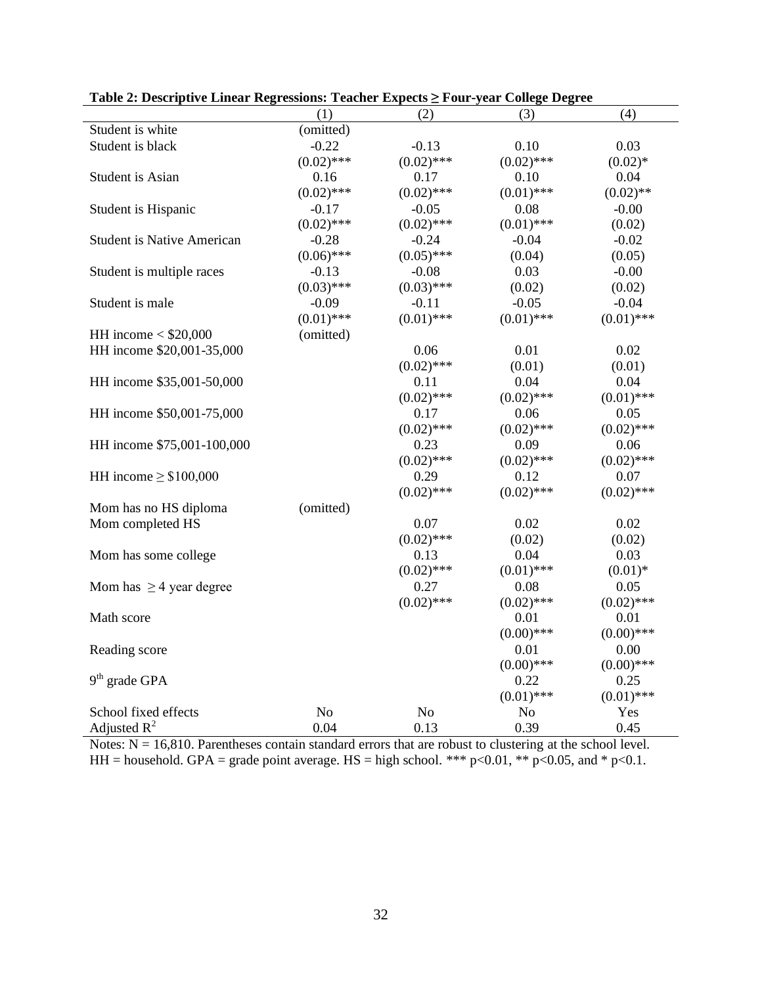| (4)<br>(1)<br>(2)<br>(3)<br>Student is white<br>(omitted)<br>Student is black<br>$-0.22$<br>$-0.13$<br>0.10<br>0.03<br>$(0.02)$ ***<br>$(0.02)$ ***<br>$(0.02)$ ***<br>$(0.02)*$<br>Student is Asian<br>0.16<br>0.17<br>0.10<br>0.04<br>$(0.02)$ ***<br>$(0.02)$ ***<br>$(0.01)$ ***<br>$(0.02)$ **<br>Student is Hispanic<br>$-0.17$<br>$-0.05$<br>0.08<br>$-0.00$<br>$(0.02)$ ***<br>$(0.02)$ ***<br>$(0.01)$ ***<br>(0.02)<br><b>Student is Native American</b><br>$-0.28$<br>$-0.24$<br>$-0.04$<br>$-0.02$<br>$(0.05)$ ***<br>$(0.06)$ ***<br>(0.04)<br>(0.05)<br>0.03<br>Student is multiple races<br>$-0.13$<br>$-0.08$<br>$-0.00$<br>$(0.03)$ ***<br>$(0.03)$ ***<br>(0.02)<br>(0.02)<br>$-0.05$<br>$-0.04$<br>Student is male<br>$-0.09$<br>$-0.11$<br>$(0.01)$ ***<br>$(0.01)$ ***<br>$(0.01)$ ***<br>$(0.01)$ ***<br>HH income $<$ \$20,000<br>(omitted)<br>HH income \$20,001-35,000<br>0.06<br>0.01<br>0.02<br>$(0.02)$ ***<br>(0.01)<br>(0.01)<br>0.04<br>HH income \$35,001-50,000<br>0.11<br>0.04<br>$(0.02)$ ***<br>$(0.02)$ ***<br>$(0.01)$ ***<br>$0.06\,$<br>HH income \$50,001-75,000<br>0.17<br>0.05<br>$(0.02)$ ***<br>$(0.02)$ ***<br>$(0.02)$ ***<br>HH income \$75,001-100,000<br>0.23<br>0.09<br>0.06<br>$(0.02)$ ***<br>$(0.02)$ ***<br>$(0.02)$ ***<br>0.29<br>HH income $\geq$ \$100,000<br>0.12<br>0.07 |
|---------------------------------------------------------------------------------------------------------------------------------------------------------------------------------------------------------------------------------------------------------------------------------------------------------------------------------------------------------------------------------------------------------------------------------------------------------------------------------------------------------------------------------------------------------------------------------------------------------------------------------------------------------------------------------------------------------------------------------------------------------------------------------------------------------------------------------------------------------------------------------------------------------------------------------------------------------------------------------------------------------------------------------------------------------------------------------------------------------------------------------------------------------------------------------------------------------------------------------------------------------------------------------------------------------------------------------------|
|                                                                                                                                                                                                                                                                                                                                                                                                                                                                                                                                                                                                                                                                                                                                                                                                                                                                                                                                                                                                                                                                                                                                                                                                                                                                                                                                       |
|                                                                                                                                                                                                                                                                                                                                                                                                                                                                                                                                                                                                                                                                                                                                                                                                                                                                                                                                                                                                                                                                                                                                                                                                                                                                                                                                       |
|                                                                                                                                                                                                                                                                                                                                                                                                                                                                                                                                                                                                                                                                                                                                                                                                                                                                                                                                                                                                                                                                                                                                                                                                                                                                                                                                       |
|                                                                                                                                                                                                                                                                                                                                                                                                                                                                                                                                                                                                                                                                                                                                                                                                                                                                                                                                                                                                                                                                                                                                                                                                                                                                                                                                       |
|                                                                                                                                                                                                                                                                                                                                                                                                                                                                                                                                                                                                                                                                                                                                                                                                                                                                                                                                                                                                                                                                                                                                                                                                                                                                                                                                       |
|                                                                                                                                                                                                                                                                                                                                                                                                                                                                                                                                                                                                                                                                                                                                                                                                                                                                                                                                                                                                                                                                                                                                                                                                                                                                                                                                       |
|                                                                                                                                                                                                                                                                                                                                                                                                                                                                                                                                                                                                                                                                                                                                                                                                                                                                                                                                                                                                                                                                                                                                                                                                                                                                                                                                       |
|                                                                                                                                                                                                                                                                                                                                                                                                                                                                                                                                                                                                                                                                                                                                                                                                                                                                                                                                                                                                                                                                                                                                                                                                                                                                                                                                       |
|                                                                                                                                                                                                                                                                                                                                                                                                                                                                                                                                                                                                                                                                                                                                                                                                                                                                                                                                                                                                                                                                                                                                                                                                                                                                                                                                       |
|                                                                                                                                                                                                                                                                                                                                                                                                                                                                                                                                                                                                                                                                                                                                                                                                                                                                                                                                                                                                                                                                                                                                                                                                                                                                                                                                       |
|                                                                                                                                                                                                                                                                                                                                                                                                                                                                                                                                                                                                                                                                                                                                                                                                                                                                                                                                                                                                                                                                                                                                                                                                                                                                                                                                       |
|                                                                                                                                                                                                                                                                                                                                                                                                                                                                                                                                                                                                                                                                                                                                                                                                                                                                                                                                                                                                                                                                                                                                                                                                                                                                                                                                       |
|                                                                                                                                                                                                                                                                                                                                                                                                                                                                                                                                                                                                                                                                                                                                                                                                                                                                                                                                                                                                                                                                                                                                                                                                                                                                                                                                       |
|                                                                                                                                                                                                                                                                                                                                                                                                                                                                                                                                                                                                                                                                                                                                                                                                                                                                                                                                                                                                                                                                                                                                                                                                                                                                                                                                       |
|                                                                                                                                                                                                                                                                                                                                                                                                                                                                                                                                                                                                                                                                                                                                                                                                                                                                                                                                                                                                                                                                                                                                                                                                                                                                                                                                       |
|                                                                                                                                                                                                                                                                                                                                                                                                                                                                                                                                                                                                                                                                                                                                                                                                                                                                                                                                                                                                                                                                                                                                                                                                                                                                                                                                       |
|                                                                                                                                                                                                                                                                                                                                                                                                                                                                                                                                                                                                                                                                                                                                                                                                                                                                                                                                                                                                                                                                                                                                                                                                                                                                                                                                       |
|                                                                                                                                                                                                                                                                                                                                                                                                                                                                                                                                                                                                                                                                                                                                                                                                                                                                                                                                                                                                                                                                                                                                                                                                                                                                                                                                       |
|                                                                                                                                                                                                                                                                                                                                                                                                                                                                                                                                                                                                                                                                                                                                                                                                                                                                                                                                                                                                                                                                                                                                                                                                                                                                                                                                       |
|                                                                                                                                                                                                                                                                                                                                                                                                                                                                                                                                                                                                                                                                                                                                                                                                                                                                                                                                                                                                                                                                                                                                                                                                                                                                                                                                       |
|                                                                                                                                                                                                                                                                                                                                                                                                                                                                                                                                                                                                                                                                                                                                                                                                                                                                                                                                                                                                                                                                                                                                                                                                                                                                                                                                       |
|                                                                                                                                                                                                                                                                                                                                                                                                                                                                                                                                                                                                                                                                                                                                                                                                                                                                                                                                                                                                                                                                                                                                                                                                                                                                                                                                       |
|                                                                                                                                                                                                                                                                                                                                                                                                                                                                                                                                                                                                                                                                                                                                                                                                                                                                                                                                                                                                                                                                                                                                                                                                                                                                                                                                       |
|                                                                                                                                                                                                                                                                                                                                                                                                                                                                                                                                                                                                                                                                                                                                                                                                                                                                                                                                                                                                                                                                                                                                                                                                                                                                                                                                       |
| $(0.02)$ ***<br>$(0.02)$ ***<br>$(0.02)$ ***                                                                                                                                                                                                                                                                                                                                                                                                                                                                                                                                                                                                                                                                                                                                                                                                                                                                                                                                                                                                                                                                                                                                                                                                                                                                                          |
| (omitted)<br>Mom has no HS diploma                                                                                                                                                                                                                                                                                                                                                                                                                                                                                                                                                                                                                                                                                                                                                                                                                                                                                                                                                                                                                                                                                                                                                                                                                                                                                                    |
| 0.07<br>0.02<br>0.02<br>Mom completed HS                                                                                                                                                                                                                                                                                                                                                                                                                                                                                                                                                                                                                                                                                                                                                                                                                                                                                                                                                                                                                                                                                                                                                                                                                                                                                              |
| $(0.02)$ ***<br>(0.02)<br>(0.02)                                                                                                                                                                                                                                                                                                                                                                                                                                                                                                                                                                                                                                                                                                                                                                                                                                                                                                                                                                                                                                                                                                                                                                                                                                                                                                      |
| 0.04<br>Mom has some college<br>0.13<br>0.03                                                                                                                                                                                                                                                                                                                                                                                                                                                                                                                                                                                                                                                                                                                                                                                                                                                                                                                                                                                                                                                                                                                                                                                                                                                                                          |
| $(0.02)$ ***<br>$(0.01)$ ***<br>$(0.01)*$                                                                                                                                                                                                                                                                                                                                                                                                                                                                                                                                                                                                                                                                                                                                                                                                                                                                                                                                                                                                                                                                                                                                                                                                                                                                                             |
| 0.27<br>Mom has $\geq$ 4 year degree<br>0.08<br>0.05                                                                                                                                                                                                                                                                                                                                                                                                                                                                                                                                                                                                                                                                                                                                                                                                                                                                                                                                                                                                                                                                                                                                                                                                                                                                                  |
| $(0.02)$ ***<br>$(0.02)$ ***<br>$(0.02)$ ***                                                                                                                                                                                                                                                                                                                                                                                                                                                                                                                                                                                                                                                                                                                                                                                                                                                                                                                                                                                                                                                                                                                                                                                                                                                                                          |
| Math score<br>0.01<br>0.01                                                                                                                                                                                                                                                                                                                                                                                                                                                                                                                                                                                                                                                                                                                                                                                                                                                                                                                                                                                                                                                                                                                                                                                                                                                                                                            |
| $(0.00)$ ***<br>$(0.00)$ ***                                                                                                                                                                                                                                                                                                                                                                                                                                                                                                                                                                                                                                                                                                                                                                                                                                                                                                                                                                                                                                                                                                                                                                                                                                                                                                          |
| 0.01<br>0.00<br>Reading score                                                                                                                                                                                                                                                                                                                                                                                                                                                                                                                                                                                                                                                                                                                                                                                                                                                                                                                                                                                                                                                                                                                                                                                                                                                                                                         |
| $(0.00)$ ***<br>$(0.00)$ ***                                                                                                                                                                                                                                                                                                                                                                                                                                                                                                                                                                                                                                                                                                                                                                                                                                                                                                                                                                                                                                                                                                                                                                                                                                                                                                          |
| $9th$ grade GPA<br>0.22<br>0.25                                                                                                                                                                                                                                                                                                                                                                                                                                                                                                                                                                                                                                                                                                                                                                                                                                                                                                                                                                                                                                                                                                                                                                                                                                                                                                       |
| $(0.01)$ ***<br>$(0.01)$ ***                                                                                                                                                                                                                                                                                                                                                                                                                                                                                                                                                                                                                                                                                                                                                                                                                                                                                                                                                                                                                                                                                                                                                                                                                                                                                                          |
| School fixed effects<br>N <sub>o</sub><br>No<br>N <sub>o</sub><br>Yes                                                                                                                                                                                                                                                                                                                                                                                                                                                                                                                                                                                                                                                                                                                                                                                                                                                                                                                                                                                                                                                                                                                                                                                                                                                                 |
| Adjusted $R^2$<br>0.04<br>0.13<br>0.39<br>0.45                                                                                                                                                                                                                                                                                                                                                                                                                                                                                                                                                                                                                                                                                                                                                                                                                                                                                                                                                                                                                                                                                                                                                                                                                                                                                        |

**Table 2: Descriptive Linear Regressions: Teacher Expects ≥ Four-year College Degree**

Notes:  $N = 16,810$ . Parentheses contain standard errors that are robust to clustering at the school level. HH = household. GPA = grade point average. HS = high school. \*\*\*  $p<0.01$ , \*\*  $p<0.05$ , and \*  $p<0.1$ .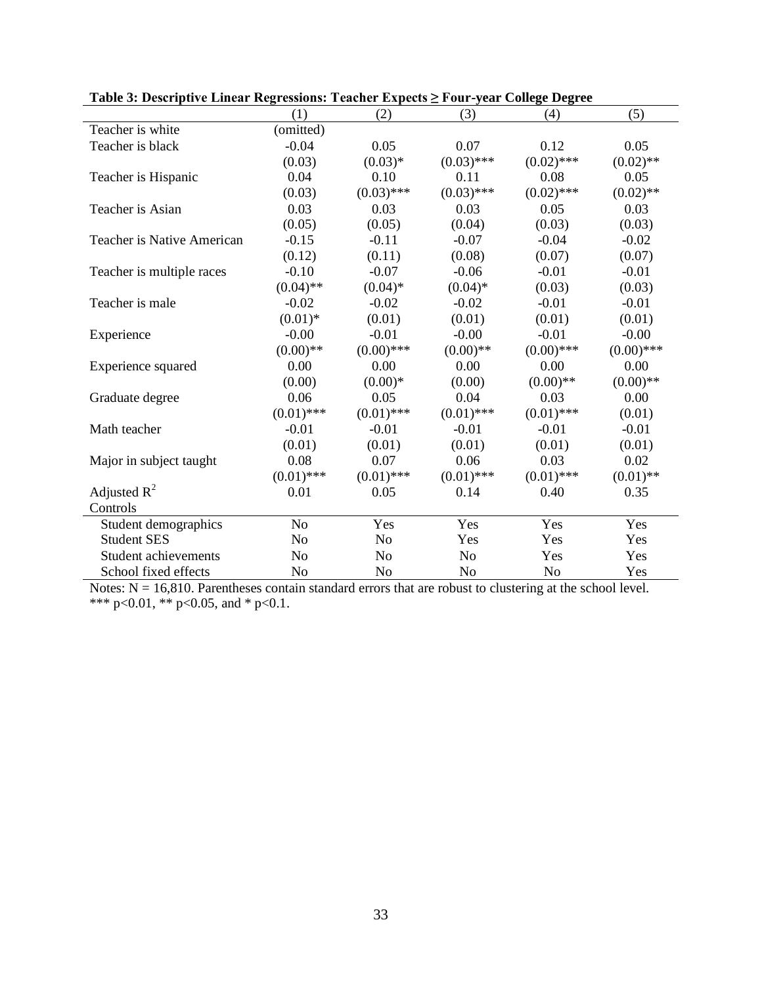|                             | (1)            | (2)            | (3)            | (4)            | (5)          |
|-----------------------------|----------------|----------------|----------------|----------------|--------------|
| Teacher is white            | (omitted)      |                |                |                |              |
| Teacher is black            | $-0.04$        | 0.05           | 0.07           | 0.12           | 0.05         |
|                             | (0.03)         | $(0.03)*$      | $(0.03)$ ***   | $(0.02)$ ***   | $(0.02)$ **  |
| Teacher is Hispanic         | 0.04           | 0.10           | 0.11           | 0.08           | 0.05         |
|                             | (0.03)         | $(0.03)$ ***   | $(0.03)$ ***   | $(0.02)$ ***   | $(0.02)$ **  |
| Teacher is Asian            | 0.03           | 0.03           | 0.03           | 0.05           | 0.03         |
|                             | (0.05)         | (0.05)         | (0.04)         | (0.03)         | (0.03)       |
| Teacher is Native American  | $-0.15$        | $-0.11$        | $-0.07$        | $-0.04$        | $-0.02$      |
|                             | (0.12)         | (0.11)         | (0.08)         | (0.07)         | (0.07)       |
| Teacher is multiple races   | $-0.10$        | $-0.07$        | $-0.06$        | $-0.01$        | $-0.01$      |
|                             | $(0.04)$ **    | $(0.04)$ *     | $(0.04)$ *     | (0.03)         | (0.03)       |
| Teacher is male             | $-0.02$        | $-0.02$        | $-0.02$        | $-0.01$        | $-0.01$      |
|                             | $(0.01)$ *     | (0.01)         | (0.01)         | (0.01)         | (0.01)       |
| Experience                  | $-0.00$        | $-0.01$        | $-0.00$        | $-0.01$        | $-0.00$      |
|                             | $(0.00)$ **    | $(0.00)$ ***   | $(0.00)$ **    | $(0.00)$ ***   | $(0.00)$ *** |
| Experience squared          | 0.00           | 0.00           | 0.00           | 0.00           | 0.00         |
|                             | (0.00)         | $(0.00)*$      | (0.00)         | $(0.00)$ **    | $(0.00)$ **  |
| Graduate degree             | 0.06           | 0.05           | 0.04           | 0.03           | 0.00         |
|                             | $(0.01)$ ***   | $(0.01)$ ***   | $(0.01)$ ***   | $(0.01)$ ***   | (0.01)       |
| Math teacher                | $-0.01$        | $-0.01$        | $-0.01$        | $-0.01$        | $-0.01$      |
|                             | (0.01)         | (0.01)         | (0.01)         | (0.01)         | (0.01)       |
| Major in subject taught     | 0.08           | 0.07           | 0.06           | 0.03           | 0.02         |
|                             | $(0.01)$ ***   | $(0.01)$ ***   | $(0.01)$ ***   | $(0.01)$ ***   | $(0.01)$ **  |
| Adjusted $R^2$              | 0.01           | 0.05           | 0.14           | 0.40           | 0.35         |
| Controls                    |                |                |                |                |              |
| Student demographics        | N <sub>0</sub> | Yes            | Yes            | Yes            | Yes          |
| <b>Student SES</b>          | N <sub>o</sub> | N <sub>o</sub> | Yes            | Yes            | Yes          |
| <b>Student achievements</b> | N <sub>0</sub> | No             | N <sub>o</sub> | Yes            | Yes          |
| School fixed effects        | No             | No             | No             | N <sub>o</sub> | Yes          |

**Table 3: Descriptive Linear Regressions: Teacher Expects ≥ Four-year College Degree**

Notes:  $N = 16,810$ . Parentheses contain standard errors that are robust to clustering at the school level. \*\*\* p<0.01, \*\* p<0.05, and \* p<0.1.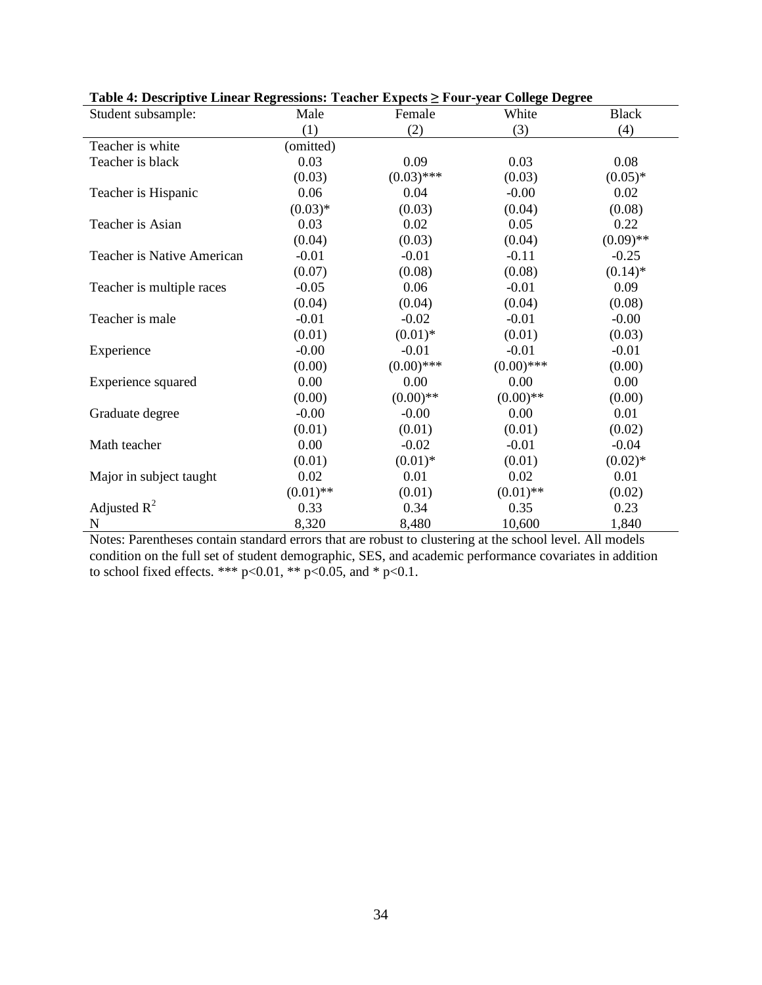| Table 4: Descriptive Linear Regressions: Teacher Expects 2 Four-year College Degree |             |              |              |              |
|-------------------------------------------------------------------------------------|-------------|--------------|--------------|--------------|
| Student subsample:                                                                  | Male        | Female       | White        | <b>Black</b> |
|                                                                                     | (1)         | (2)          | (3)          | (4)          |
| Teacher is white                                                                    | (omitted)   |              |              |              |
| Teacher is black                                                                    | 0.03        | 0.09         | 0.03         | 0.08         |
|                                                                                     | (0.03)      | $(0.03)$ *** | (0.03)       | $(0.05)*$    |
| Teacher is Hispanic                                                                 | 0.06        | 0.04         | $-0.00$      | 0.02         |
|                                                                                     | $(0.03)*$   | (0.03)       | (0.04)       | (0.08)       |
| Teacher is Asian                                                                    | 0.03        | 0.02         | 0.05         | 0.22         |
|                                                                                     | (0.04)      | (0.03)       | (0.04)       | $(0.09)$ **  |
| Teacher is Native American                                                          | $-0.01$     | $-0.01$      | $-0.11$      | $-0.25$      |
|                                                                                     | (0.07)      | (0.08)       | (0.08)       | $(0.14)$ *   |
| Teacher is multiple races                                                           | $-0.05$     | 0.06         | $-0.01$      | 0.09         |
|                                                                                     | (0.04)      | (0.04)       | (0.04)       | (0.08)       |
| Teacher is male                                                                     | $-0.01$     | $-0.02$      | $-0.01$      | $-0.00$      |
|                                                                                     | (0.01)      | $(0.01)$ *   | (0.01)       | (0.03)       |
| Experience                                                                          | $-0.00$     | $-0.01$      | $-0.01$      | $-0.01$      |
|                                                                                     | (0.00)      | $(0.00)$ *** | $(0.00)$ *** | (0.00)       |
| Experience squared                                                                  | 0.00        | 0.00         | 0.00         | 0.00         |
|                                                                                     | (0.00)      | $(0.00)$ **  | $(0.00)$ **  | (0.00)       |
| Graduate degree                                                                     | $-0.00$     | $-0.00$      | 0.00         | 0.01         |
|                                                                                     | (0.01)      | (0.01)       | (0.01)       | (0.02)       |
| Math teacher                                                                        | 0.00        | $-0.02$      | $-0.01$      | $-0.04$      |
|                                                                                     | (0.01)      | $(0.01)$ *   | (0.01)       | $(0.02)*$    |
| Major in subject taught                                                             | 0.02        | 0.01         | 0.02         | 0.01         |
|                                                                                     | $(0.01)$ ** | (0.01)       | $(0.01)$ **  | (0.02)       |
| Adjusted $R^2$                                                                      | 0.33        | 0.34         | 0.35         | 0.23         |
| N                                                                                   | 8,320       | 8,480        | 10,600       | 1,840        |

| Table 4: Descriptive Linear Regressions: Teacher Expects ≥ Four-year College Degree |  |  |  |  |
|-------------------------------------------------------------------------------------|--|--|--|--|
|-------------------------------------------------------------------------------------|--|--|--|--|

Notes: Parentheses contain standard errors that are robust to clustering at the school level. All models condition on the full set of student demographic, SES, and academic performance covariates in addition to school fixed effects. \*\*\*  $p<0.01$ , \*\*  $p<0.05$ , and \*  $p<0.1$ .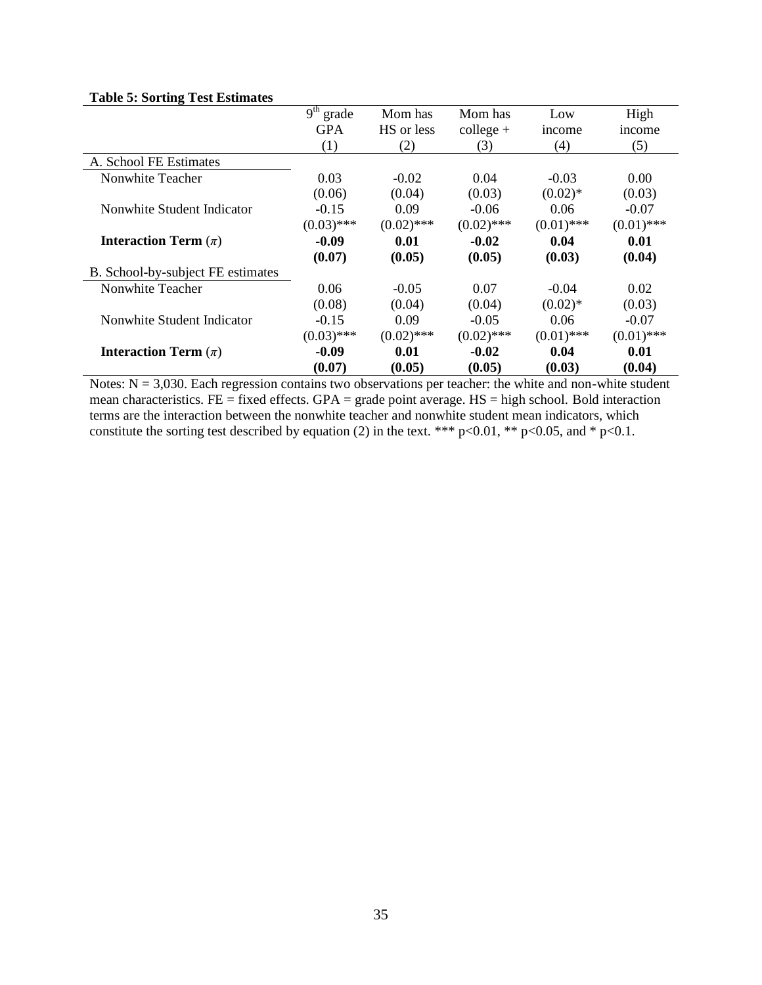|                                   | 9 <sup>th</sup><br>grade | Mom has      | Mom has      | Low          | High         |
|-----------------------------------|--------------------------|--------------|--------------|--------------|--------------|
|                                   | <b>GPA</b>               | HS or less   | $college +$  | income       | income       |
|                                   | (1)                      | (2)          | (3)          | (4)          | (5)          |
| A. School FE Estimates            |                          |              |              |              |              |
| Nonwhite Teacher                  | 0.03                     | $-0.02$      | 0.04         | $-0.03$      | 0.00         |
|                                   | (0.06)                   | (0.04)       | (0.03)       | $(0.02)$ *   | (0.03)       |
| Nonwhite Student Indicator        | $-0.15$                  | 0.09         | $-0.06$      | 0.06         | $-0.07$      |
|                                   | $(0.03)$ ***             | $(0.02)$ *** | $(0.02)$ *** | $(0.01)$ *** | $(0.01)$ *** |
| <b>Interaction Term</b> $(\pi)$   | $-0.09$                  | 0.01         | $-0.02$      | 0.04         | 0.01         |
|                                   | (0.07)                   | (0.05)       | (0.05)       | (0.03)       | (0.04)       |
| B. School-by-subject FE estimates |                          |              |              |              |              |
| Nonwhite Teacher                  | 0.06                     | $-0.05$      | 0.07         | $-0.04$      | 0.02         |
|                                   | (0.08)                   | (0.04)       | (0.04)       | $(0.02)$ *   | (0.03)       |
| Nonwhite Student Indicator        | $-0.15$                  | 0.09         | $-0.05$      | 0.06         | $-0.07$      |
|                                   | $(0.03)$ ***             | $(0.02)$ *** | $(0.02)$ *** | $(0.01)$ *** | $(0.01)$ *** |
| <b>Interaction Term</b> $(\pi)$   | $-0.09$                  | 0.01         | $-0.02$      | 0.04         | 0.01         |
|                                   | (0.07)                   | (0.05)       | (0.05)       | (0.03)       | (0.04)       |

### **Table 5: Sorting Test Estimates**

Notes:  $N = 3,030$ . Each regression contains two observations per teacher: the white and non-white student mean characteristics. FE = fixed effects. GPA = grade point average. HS = high school. Bold interaction terms are the interaction between the nonwhite teacher and nonwhite student mean indicators, which constitute the sorting test described by equation (2) in the text. \*\*\*  $p<0.01$ , \*\*  $p<0.05$ , and \*  $p<0.1$ .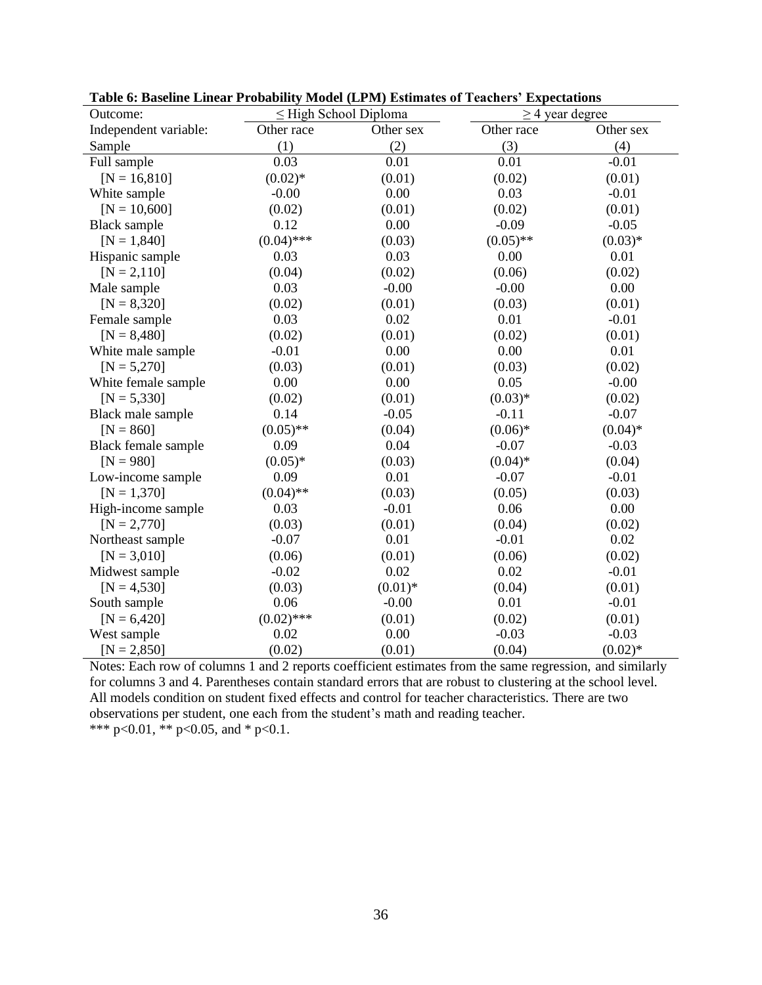| Outcome:              |              | $\leq$ High School Diploma | $\geq$ 4 year degree |            |
|-----------------------|--------------|----------------------------|----------------------|------------|
| Independent variable: | Other race   | Other sex                  | Other race           | Other sex  |
| Sample                | (1)          | (2)                        | (3)                  | (4)        |
| Full sample           | 0.03         | 0.01                       | 0.01                 | $-0.01$    |
| $[N = 16, 810]$       | $(0.02)*$    | (0.01)                     | (0.02)               | (0.01)     |
| White sample          | $-0.00$      | 0.00                       | 0.03                 | $-0.01$    |
| $[N = 10,600]$        | (0.02)       | (0.01)                     | (0.02)               | (0.01)     |
| <b>Black sample</b>   | 0.12         | 0.00                       | $-0.09$              | $-0.05$    |
| $[N = 1,840]$         | $(0.04)$ *** | (0.03)                     | $(0.05)$ **          | $(0.03)*$  |
| Hispanic sample       | 0.03         | 0.03                       | 0.00                 | 0.01       |
| $[N = 2, 110]$        | (0.04)       | (0.02)                     | (0.06)               | (0.02)     |
| Male sample           | 0.03         | $-0.00$                    | $-0.00$              | 0.00       |
| $[N = 8,320]$         | (0.02)       | (0.01)                     | (0.03)               | (0.01)     |
| Female sample         | 0.03         | 0.02                       | 0.01                 | $-0.01$    |
| $[N = 8,480]$         | (0.02)       | (0.01)                     | (0.02)               | (0.01)     |
| White male sample     | $-0.01$      | 0.00                       | 0.00                 | 0.01       |
| $[N = 5,270]$         | (0.03)       | (0.01)                     | (0.03)               | (0.02)     |
| White female sample   | 0.00         | 0.00                       | 0.05                 | $-0.00$    |
| $[N = 5,330]$         | (0.02)       | (0.01)                     | $(0.03)*$            | (0.02)     |
| Black male sample     | 0.14         | $-0.05$                    | $-0.11$              | $-0.07$    |
| $[N = 860]$           | $(0.05)$ **  | (0.04)                     | $(0.06)*$            | $(0.04)$ * |
| Black female sample   | 0.09         | 0.04                       | $-0.07$              | $-0.03$    |
| $[N = 980]$           | $(0.05)*$    | (0.03)                     | $(0.04)$ *           | (0.04)     |
| Low-income sample     | 0.09         | 0.01                       | $-0.07$              | $-0.01$    |
| $[N = 1,370]$         | $(0.04)$ **  | (0.03)                     | (0.05)               | (0.03)     |
| High-income sample    | 0.03         | $-0.01$                    | 0.06                 | 0.00       |
| $[N = 2,770]$         | (0.03)       | (0.01)                     | (0.04)               | (0.02)     |
| Northeast sample      | $-0.07$      | 0.01                       | $-0.01$              | 0.02       |
| $[N = 3,010]$         | (0.06)       | (0.01)                     | (0.06)               | (0.02)     |
| Midwest sample        | $-0.02$      | 0.02                       | 0.02                 | $-0.01$    |
| $[N = 4, 530]$        | (0.03)       | $(0.01)$ *                 | (0.04)               | (0.01)     |
| South sample          | 0.06         | $-0.00$                    | 0.01                 | $-0.01$    |
| $[N = 6,420]$         | $(0.02)$ *** | (0.01)                     | (0.02)               | (0.01)     |
| West sample           | 0.02         | 0.00                       | $-0.03$              | $-0.03$    |
| $[N = 2,850]$         | (0.02)       | (0.01)                     | (0.04)               | $(0.02)$ * |

**Table 6: Baseline Linear Probability Model (LPM) Estimates of Teachers' Expectations**

Notes: Each row of columns 1 and 2 reports coefficient estimates from the same regression, and similarly for columns 3 and 4. Parentheses contain standard errors that are robust to clustering at the school level. All models condition on student fixed effects and control for teacher characteristics. There are two observations per student, one each from the student's math and reading teacher. \*\*\* p<0.01, \*\* p<0.05, and \* p<0.1.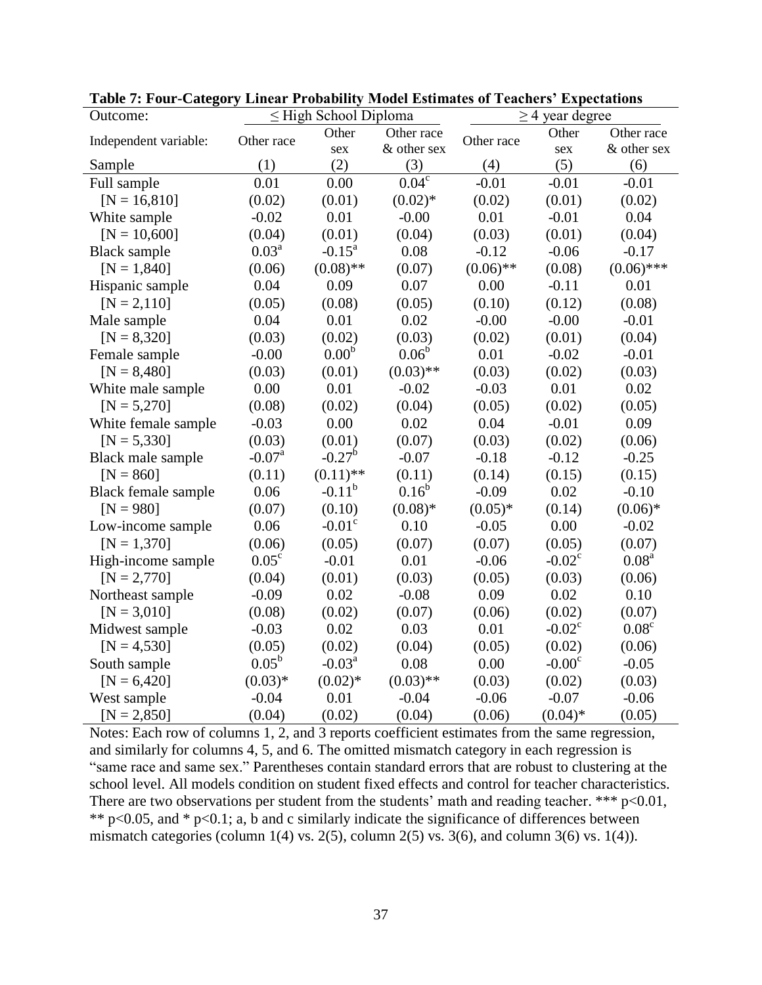| Outcome:              |                      | $\leq$ High School Diploma |                       |             | $\geq$ 4 year degree |                   |
|-----------------------|----------------------|----------------------------|-----------------------|-------------|----------------------|-------------------|
| Independent variable: | Other race           | Other                      | Other race            | Other race  | Other                | Other race        |
|                       |                      | sex                        | & other sex           |             | sex                  | & other sex       |
| Sample                | (1)                  | (2)                        | (3)                   | (4)         | (5)                  | (6)               |
| Full sample           | 0.01                 | 0.00                       | $0.04^{\overline{c}}$ | $-0.01$     | $-0.01$              | $-0.01$           |
| $[N = 16, 810]$       | (0.02)               | (0.01)                     | $(0.02)*$             | (0.02)      | (0.01)               | (0.02)            |
| White sample          | $-0.02$              | 0.01                       | $-0.00$               | 0.01        | $-0.01$              | 0.04              |
| $[N = 10,600]$        | (0.04)               | (0.01)                     | (0.04)                | (0.03)      | (0.01)               | (0.04)            |
| <b>Black</b> sample   | 0.03 <sup>a</sup>    | $-0.15^a$                  | 0.08                  | $-0.12$     | $-0.06$              | $-0.17$           |
| $[N = 1,840]$         | (0.06)               | $(0.08)$ **                | (0.07)                | $(0.06)$ ** | (0.08)               | $(0.06)$ ***      |
| Hispanic sample       | 0.04                 | 0.09                       | 0.07                  | 0.00        | $-0.11$              | 0.01              |
| $[N = 2, 110]$        | (0.05)               | (0.08)                     | (0.05)                | (0.10)      | (0.12)               | (0.08)            |
| Male sample           | 0.04                 | 0.01                       | 0.02                  | $-0.00$     | $-0.00$              | $-0.01$           |
| $[N = 8,320]$         | (0.03)               | (0.02)                     | (0.03)                | (0.02)      | (0.01)               | (0.04)            |
| Female sample         | $-0.00$              | 0.00 <sup>b</sup>          | $0.06^{\rm b}$        | 0.01        | $-0.02$              | $-0.01$           |
| $[N = 8,480]$         | (0.03)               | (0.01)                     | $(0.03)$ **           | (0.03)      | (0.02)               | (0.03)            |
| White male sample     | 0.00                 | 0.01                       | $-0.02$               | $-0.03$     | 0.01                 | 0.02              |
| $[N = 5,270]$         | (0.08)               | (0.02)                     | (0.04)                | (0.05)      | (0.02)               | (0.05)            |
| White female sample   | $-0.03$              | 0.00                       | 0.02                  | 0.04        | $-0.01$              | 0.09              |
| $[N = 5,330]$         | (0.03)               | (0.01)                     | (0.07)                | (0.03)      | (0.02)               | (0.06)            |
| Black male sample     | $-0.07$ <sup>a</sup> | $-0.27^{\rm b}$            | $-0.07$               | $-0.18$     | $-0.12$              | $-0.25$           |
| $[N = 860]$           | (0.11)               | $(0.11)$ **                | (0.11)                | (0.14)      | (0.15)               | (0.15)            |
| Black female sample   | 0.06                 | $-0.11^{b}$                | $0.16^{\rm b}$        | $-0.09$     | 0.02                 | $-0.10$           |
| $[N = 980]$           | (0.07)               | (0.10)                     | $(0.08)*$             | $(0.05)*$   | (0.14)               | $(0.06)*$         |
| Low-income sample     | 0.06                 | $-0.01$ <sup>c</sup>       | 0.10                  | $-0.05$     | 0.00                 | $-0.02$           |
| $[N = 1,370]$         | (0.06)               | (0.05)                     | (0.07)                | (0.07)      | (0.05)               | (0.07)            |
| High-income sample    | $0.05^{\circ}$       | $-0.01$                    | 0.01                  | $-0.06$     | $-0.02^{\circ}$      | 0.08 <sup>a</sup> |
| $[N = 2,770]$         | (0.04)               | (0.01)                     | (0.03)                | (0.05)      | (0.03)               | (0.06)            |
| Northeast sample      | $-0.09$              | 0.02                       | $-0.08$               | 0.09        | 0.02                 | 0.10              |
| $[N = 3,010]$         | (0.08)               | (0.02)                     | (0.07)                | (0.06)      | (0.02)               | (0.07)            |
| Midwest sample        | $-0.03$              | 0.02                       | 0.03                  | 0.01        | $-0.02^{\circ}$      | 0.08 <sup>c</sup> |
| $[N = 4, 530]$        | (0.05)               | (0.02)                     | (0.04)                | (0.05)      | (0.02)               | (0.06)            |
| South sample          | $0.05^{\rm b}$       | $-0.03^a$                  | 0.08                  | 0.00        | $-0.00c$             | $-0.05$           |
| $[N = 6,420]$         | $(0.03)*$            | $(0.02)*$                  | $(0.03)$ **           | (0.03)      | (0.02)               | (0.03)            |
| West sample           | $-0.04$              | 0.01                       | $-0.04$               | $-0.06$     | $-0.07$              | $-0.06$           |
| $[N = 2,850]$         | (0.04)               | (0.02)                     | (0.04)                | (0.06)      | $(0.04)$ *           | (0.05)            |

**Table 7: Four-Category Linear Probability Model Estimates of Teachers' Expectations**

Notes: Each row of columns 1, 2, and 3 reports coefficient estimates from the same regression, and similarly for columns 4, 5, and 6. The omitted mismatch category in each regression is "same race and same sex." Parentheses contain standard errors that are robust to clustering at the school level. All models condition on student fixed effects and control for teacher characteristics. There are two observations per student from the students' math and reading teacher. \*\*\*  $p<0.01$ , \*\*  $p<0.05$ , and \*  $p<0.1$ ; a, b and c similarly indicate the significance of differences between mismatch categories (column 1(4) vs. 2(5), column 2(5) vs. 3(6), and column 3(6) vs. 1(4)).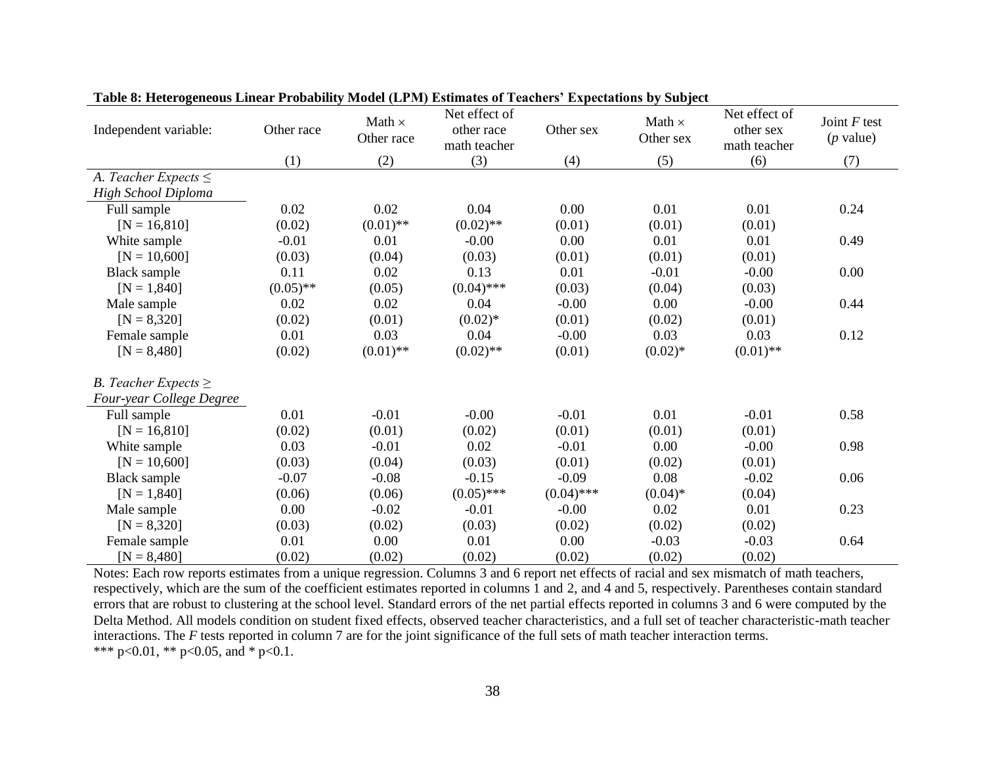| Independent variable:     | Other race  | Math $\times$<br>Other race | Net effect of<br>other race<br>math teacher | Other sex    | Math $\times$<br>Other sex | Net effect of<br>other sex<br>math teacher | Joint $F$ test<br>$(p$ value) |
|---------------------------|-------------|-----------------------------|---------------------------------------------|--------------|----------------------------|--------------------------------------------|-------------------------------|
|                           | (1)         | (2)                         | (3)                                         | (4)          | (5)                        | (6)                                        | (7)                           |
| A. Teacher Expects $\leq$ |             |                             |                                             |              |                            |                                            |                               |
| High School Diploma       |             |                             |                                             |              |                            |                                            |                               |
| Full sample               | 0.02        | 0.02                        | 0.04                                        | 0.00         | 0.01                       | 0.01                                       | 0.24                          |
| $[N = 16, 810]$           | (0.02)      | $(0.01)$ **                 | $(0.02)$ **                                 | (0.01)       | (0.01)                     | (0.01)                                     |                               |
| White sample              | $-0.01$     | 0.01                        | $-0.00$                                     | 0.00         | 0.01                       | 0.01                                       | 0.49                          |
| $[N = 10,600]$            | (0.03)      | (0.04)                      | (0.03)                                      | (0.01)       | (0.01)                     | (0.01)                                     |                               |
| <b>Black sample</b>       | 0.11        | 0.02                        | 0.13                                        | 0.01         | $-0.01$                    | $-0.00$                                    | 0.00                          |
| $[N = 1,840]$             | $(0.05)$ ** | (0.05)                      | $(0.04)$ ***                                | (0.03)       | (0.04)                     | (0.03)                                     |                               |
| Male sample               | 0.02        | 0.02                        | 0.04                                        | $-0.00$      | 0.00                       | $-0.00$                                    | 0.44                          |
| $[N = 8,320]$             | (0.02)      | (0.01)                      | $(0.02)^*$                                  | (0.01)       | (0.02)                     | (0.01)                                     |                               |
| Female sample             | 0.01        | 0.03                        | 0.04                                        | $-0.00$      | 0.03                       | 0.03                                       | 0.12                          |
| $[N = 8,480]$             | (0.02)      | $(0.01)$ **                 | $(0.02)$ **                                 | (0.01)       | $(0.02)*$                  | $(0.01)$ **                                |                               |
| B. Teacher Expects $\geq$ |             |                             |                                             |              |                            |                                            |                               |
| Four-year College Degree  |             |                             |                                             |              |                            |                                            |                               |
| Full sample               | 0.01        | $-0.01$                     | $-0.00$                                     | $-0.01$      | 0.01                       | $-0.01$                                    | 0.58                          |
| $[N = 16, 810]$           | (0.02)      | (0.01)                      | (0.02)                                      | (0.01)       | (0.01)                     | (0.01)                                     |                               |
| White sample              | 0.03        | $-0.01$                     | 0.02                                        | $-0.01$      | 0.00                       | $-0.00$                                    | 0.98                          |
| $[N = 10,600]$            | (0.03)      | (0.04)                      | (0.03)                                      | (0.01)       | (0.02)                     | (0.01)                                     |                               |
| <b>Black sample</b>       | $-0.07$     | $-0.08$                     | $-0.15$                                     | $-0.09$      | 0.08                       | $-0.02$                                    | 0.06                          |
| $[N = 1,840]$             | (0.06)      | (0.06)                      | $(0.05)$ ***                                | $(0.04)$ *** | $(0.04)*$                  | (0.04)                                     |                               |
| Male sample               | 0.00        | $-0.02$                     | $-0.01$                                     | $-0.00$      | 0.02                       | 0.01                                       | 0.23                          |
| $[N = 8,320]$             | (0.03)      | (0.02)                      | (0.03)                                      | (0.02)       | (0.02)                     | (0.02)                                     |                               |
| Female sample             | 0.01        | 0.00                        | 0.01                                        | 0.00         | $-0.03$                    | $-0.03$                                    | 0.64                          |
| $[N = 8,480]$             | (0.02)      | (0.02)                      | (0.02)                                      | (0.02)       | (0.02)                     | (0.02)                                     |                               |

Notes: Each row reports estimates from a unique regression. Columns 3 and 6 report net effects of racial and sex mismatch of math teachers, respectively, which are the sum of the coefficient estimates reported in columns 1 and 2, and 4 and 5, respectively. Parentheses contain standard errors that are robust to clustering at the school level. Standard errors of the net partial effects reported in columns 3 and 6 were computed by the Delta Method. All models condition on student fixed effects, observed teacher characteristics, and a full set of teacher characteristic-math teacher interactions. The *F* tests reported in column 7 are for the joint significance of the full sets of math teacher interaction terms. \*\*\* p<0.01, \*\* p<0.05, and \* p<0.1.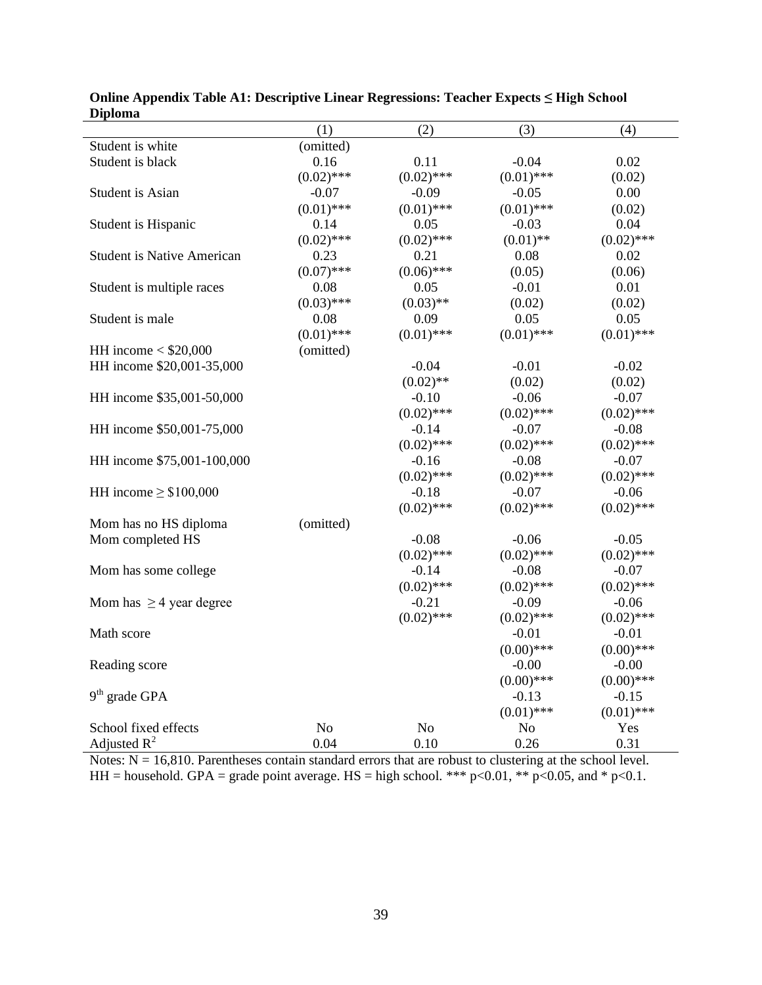|                                   | (1)            | (2)          | (3)          | (4)          |
|-----------------------------------|----------------|--------------|--------------|--------------|
| Student is white                  | (omitted)      |              |              |              |
| Student is black                  | 0.16           | 0.11         | $-0.04$      | 0.02         |
|                                   | $(0.02)$ ***   | $(0.02)$ *** | $(0.01)$ *** | (0.02)       |
| Student is Asian                  | $-0.07$        | $-0.09$      | $-0.05$      | 0.00         |
|                                   | $(0.01)$ ***   | $(0.01)$ *** | $(0.01)$ *** | (0.02)       |
| Student is Hispanic               | 0.14           | 0.05         | $-0.03$      | 0.04         |
|                                   | $(0.02)$ ***   | $(0.02)$ *** | $(0.01)$ **  | $(0.02)$ *** |
| <b>Student is Native American</b> | 0.23           | 0.21         | 0.08         | 0.02         |
|                                   | $(0.07)$ ***   | $(0.06)$ *** | (0.05)       | (0.06)       |
| Student is multiple races         | 0.08           | 0.05         | $-0.01$      | 0.01         |
|                                   | $(0.03)$ ***   | $(0.03)$ **  | (0.02)       | (0.02)       |
| Student is male                   | 0.08           | 0.09         | 0.05         | 0.05         |
|                                   | $(0.01)$ ***   | $(0.01)$ *** | $(0.01)$ *** | $(0.01)$ *** |
| HH income $<$ \$20,000            | (omitted)      |              |              |              |
| HH income \$20,001-35,000         |                | $-0.04$      | $-0.01$      | $-0.02$      |
|                                   |                | $(0.02)$ **  | (0.02)       | (0.02)       |
| HH income \$35,001-50,000         |                | $-0.10$      | $-0.06$      | $-0.07$      |
|                                   |                | $(0.02)$ *** | $(0.02)$ *** | $(0.02)$ *** |
| HH income \$50,001-75,000         |                | $-0.14$      | $-0.07$      | $-0.08$      |
|                                   |                | $(0.02)$ *** | $(0.02)$ *** | $(0.02)$ *** |
| HH income \$75,001-100,000        |                | $-0.16$      | $-0.08$      | $-0.07$      |
|                                   |                | $(0.02)$ *** | $(0.02)$ *** | $(0.02)$ *** |
| HH income $\geq$ \$100,000        |                | $-0.18$      | $-0.07$      | $-0.06$      |
|                                   |                | $(0.02)$ *** | $(0.02)$ *** | $(0.02)$ *** |
| Mom has no HS diploma             | (omitted)      |              |              |              |
| Mom completed HS                  |                | $-0.08$      | $-0.06$      | $-0.05$      |
|                                   |                | $(0.02)$ *** | $(0.02)$ *** | $(0.02)$ *** |
| Mom has some college              |                | $-0.14$      | $-0.08$      | $-0.07$      |
|                                   |                | $(0.02)$ *** | $(0.02)$ *** | $(0.02)$ *** |
| Mom has $\geq$ 4 year degree      |                | $-0.21$      | $-0.09$      | $-0.06$      |
|                                   |                | $(0.02)$ *** | $(0.02)$ *** | $(0.02)$ *** |
| Math score                        |                |              | $-0.01$      | $-0.01$      |
|                                   |                |              | $(0.00)$ *** | $(0.00)$ *** |
| Reading score                     |                |              | $-0.00$      | $-0.00$      |
|                                   |                |              | $(0.00)$ *** | $(0.00)$ *** |
| $9th$ grade GPA                   |                |              | $-0.13$      | $-0.15$      |
|                                   |                |              | $(0.01)$ *** | $(0.01)$ *** |
| School fixed effects              | N <sub>o</sub> | No           | No           | Yes          |
| Adjusted $R^2$                    | 0.04           | 0.10         | 0.26         | 0.31         |
|                                   |                |              |              |              |

| Online Appendix Table A1: Descriptive Linear Regressions: Teacher Expects $\leq$ High School |  |  |
|----------------------------------------------------------------------------------------------|--|--|
| <b>Diploma</b>                                                                               |  |  |

Notes:  $N = 16,810$ . Parentheses contain standard errors that are robust to clustering at the school level. HH = household. GPA = grade point average. HS = high school. \*\*\* p<0.01, \*\* p<0.05, and \* p<0.1.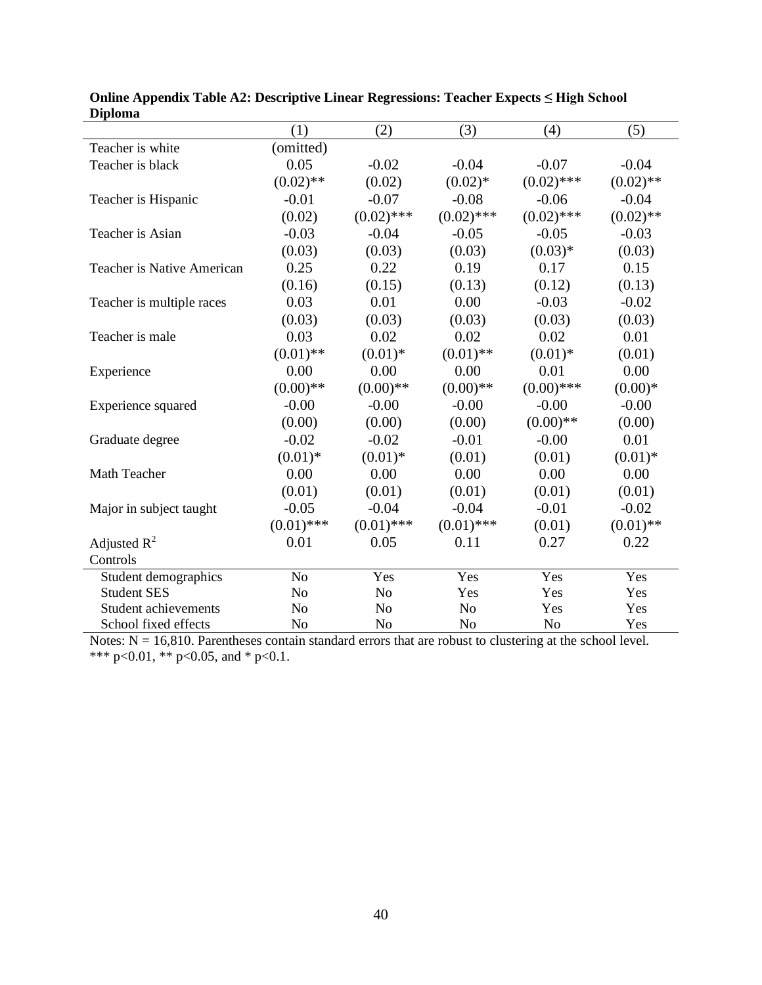|                                   | (1)            | (2)            | (3)            | (4)            | (5)         |
|-----------------------------------|----------------|----------------|----------------|----------------|-------------|
| Teacher is white                  | (omitted)      |                |                |                |             |
| Teacher is black                  | 0.05           | $-0.02$        | $-0.04$        | $-0.07$        | $-0.04$     |
|                                   | $(0.02)$ **    | (0.02)         | $(0.02)*$      | $(0.02)$ ***   | $(0.02)$ ** |
| Teacher is Hispanic               | $-0.01$        | $-0.07$        | $-0.08$        | $-0.06$        | $-0.04$     |
|                                   | (0.02)         | $(0.02)$ ***   | $(0.02)$ ***   | $(0.02)$ ***   | $(0.02)$ ** |
| Teacher is Asian                  | $-0.03$        | $-0.04$        | $-0.05$        | $-0.05$        | $-0.03$     |
|                                   | (0.03)         | (0.03)         | (0.03)         | $(0.03)*$      | (0.03)      |
| <b>Teacher is Native American</b> | 0.25           | 0.22           | 0.19           | 0.17           | 0.15        |
|                                   | (0.16)         | (0.15)         | (0.13)         | (0.12)         | (0.13)      |
| Teacher is multiple races         | 0.03           | 0.01           | 0.00           | $-0.03$        | $-0.02$     |
|                                   | (0.03)         | (0.03)         | (0.03)         | (0.03)         | (0.03)      |
| Teacher is male                   | 0.03           | 0.02           | 0.02           | 0.02           | 0.01        |
|                                   | $(0.01)$ **    | $(0.01)$ *     | $(0.01)$ **    | $(0.01)$ *     | (0.01)      |
| Experience                        | 0.00           | 0.00           | 0.00           | 0.01           | 0.00        |
|                                   | $(0.00)$ **    | $(0.00)$ **    | $(0.00)$ **    | $(0.00)$ ***   | $(0.00)*$   |
| Experience squared                | $-0.00$        | $-0.00$        | $-0.00$        | $-0.00$        | $-0.00$     |
|                                   | (0.00)         | (0.00)         | (0.00)         | $(0.00)$ **    | (0.00)      |
| Graduate degree                   | $-0.02$        | $-0.02$        | $-0.01$        | $-0.00$        | 0.01        |
|                                   | $(0.01)$ *     | $(0.01)$ *     | (0.01)         | (0.01)         | $(0.01)$ *  |
| Math Teacher                      | 0.00           | 0.00           | 0.00           | 0.00           | 0.00        |
|                                   | (0.01)         | (0.01)         | (0.01)         | (0.01)         | (0.01)      |
| Major in subject taught           | $-0.05$        | $-0.04$        | $-0.04$        | $-0.01$        | $-0.02$     |
|                                   | $(0.01)$ ***   | $(0.01)$ ***   | $(0.01)$ ***   | (0.01)         | $(0.01)$ ** |
| Adjusted $R^2$                    | 0.01           | 0.05           | 0.11           | 0.27           | 0.22        |
| Controls                          |                |                |                |                |             |
| Student demographics              | N <sub>o</sub> | Yes            | Yes            | Yes            | Yes         |
| <b>Student SES</b>                | N <sub>o</sub> | N <sub>o</sub> | Yes            | Yes            | Yes         |
| <b>Student achievements</b>       | N <sub>o</sub> | N <sub>o</sub> | N <sub>o</sub> | Yes            | Yes         |
| School fixed effects              | N <sub>o</sub> | N <sub>o</sub> | N <sub>o</sub> | N <sub>o</sub> | Yes         |

**Online Appendix Table A2: Descriptive Linear Regressions: Teacher Expects ≤ High School Diploma**

Notes:  $N = 16,810$ . Parentheses contain standard errors that are robust to clustering at the school level. \*\*\* p<0.01, \*\* p<0.05, and \* p<0.1.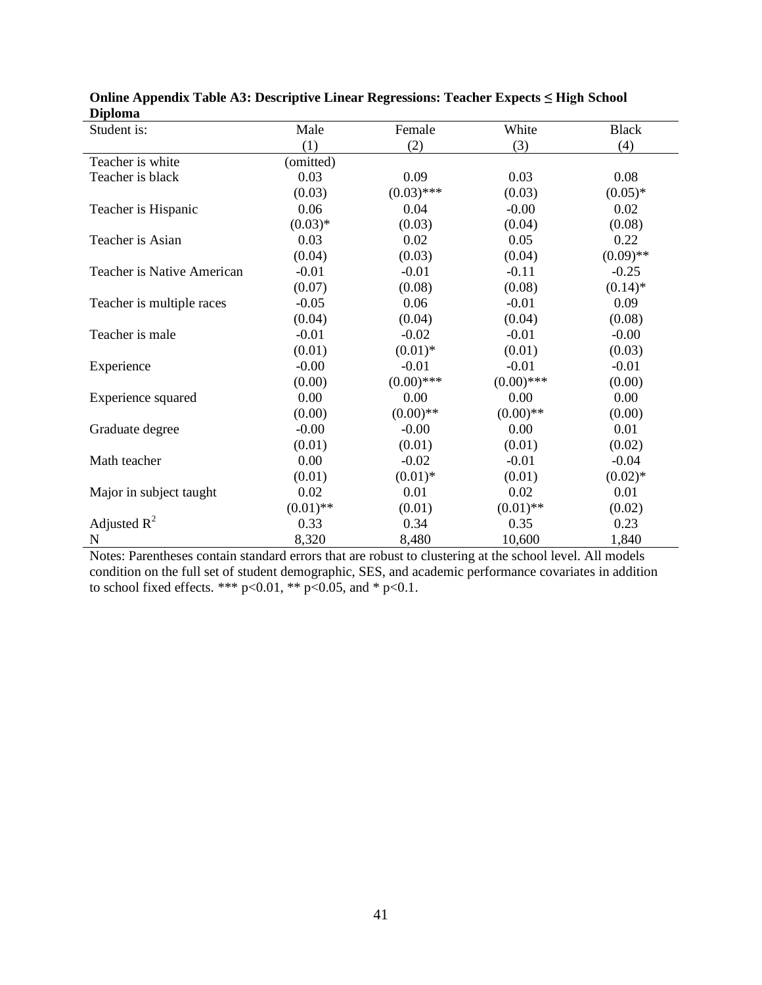| ририлна<br>Student is:     | Male        | Female       | White        | <b>Black</b> |
|----------------------------|-------------|--------------|--------------|--------------|
|                            | (1)         | (2)          | (3)          | (4)          |
| Teacher is white           | (omitted)   |              |              |              |
| Teacher is black           | 0.03        | 0.09         | 0.03         | 0.08         |
|                            | (0.03)      | $(0.03)$ *** | (0.03)       | $(0.05)*$    |
| Teacher is Hispanic        | 0.06        | 0.04         | $-0.00$      | 0.02         |
|                            | $(0.03)*$   | (0.03)       | (0.04)       | (0.08)       |
| Teacher is Asian           | 0.03        | 0.02         | 0.05         | 0.22         |
|                            | (0.04)      | (0.03)       | (0.04)       | $(0.09)$ **  |
| Teacher is Native American | $-0.01$     | $-0.01$      | $-0.11$      | $-0.25$      |
|                            | (0.07)      | (0.08)       | (0.08)       | $(0.14)$ *   |
| Teacher is multiple races  | $-0.05$     | 0.06         | $-0.01$      | 0.09         |
|                            | (0.04)      | (0.04)       | (0.04)       | (0.08)       |
| Teacher is male            | $-0.01$     | $-0.02$      | $-0.01$      | $-0.00$      |
|                            | (0.01)      | $(0.01)*$    | (0.01)       | (0.03)       |
| Experience                 | $-0.00$     | $-0.01$      | $-0.01$      | $-0.01$      |
|                            | (0.00)      | $(0.00)$ *** | $(0.00)$ *** | (0.00)       |
| Experience squared         | 0.00        | 0.00         | 0.00         | 0.00         |
|                            | (0.00)      | $(0.00)$ **  | $(0.00)$ **  | (0.00)       |
| Graduate degree            | $-0.00$     | $-0.00$      | 0.00         | 0.01         |
|                            | (0.01)      | (0.01)       | (0.01)       | (0.02)       |
| Math teacher               | 0.00        | $-0.02$      | $-0.01$      | $-0.04$      |
|                            | (0.01)      | $(0.01)$ *   | (0.01)       | $(0.02)*$    |
| Major in subject taught    | 0.02        | 0.01         | 0.02         | 0.01         |
|                            | $(0.01)$ ** | (0.01)       | $(0.01)$ **  | (0.02)       |
| Adjusted $R^2$             | 0.33        | 0.34         | 0.35         | 0.23         |
| $\mathbf N$                | 8,320       | 8,480        | 10,600       | 1,840        |

|                | Online Appendix Table A3: Descriptive Linear Regressions: Teacher Expects $\leq$ High School |  |  |  |
|----------------|----------------------------------------------------------------------------------------------|--|--|--|
| <b>Diploma</b> |                                                                                              |  |  |  |

Notes: Parentheses contain standard errors that are robust to clustering at the school level. All models condition on the full set of student demographic, SES, and academic performance covariates in addition to school fixed effects. \*\*\*  $p<0.01$ , \*\*  $p<0.05$ , and \*  $p<0.1$ .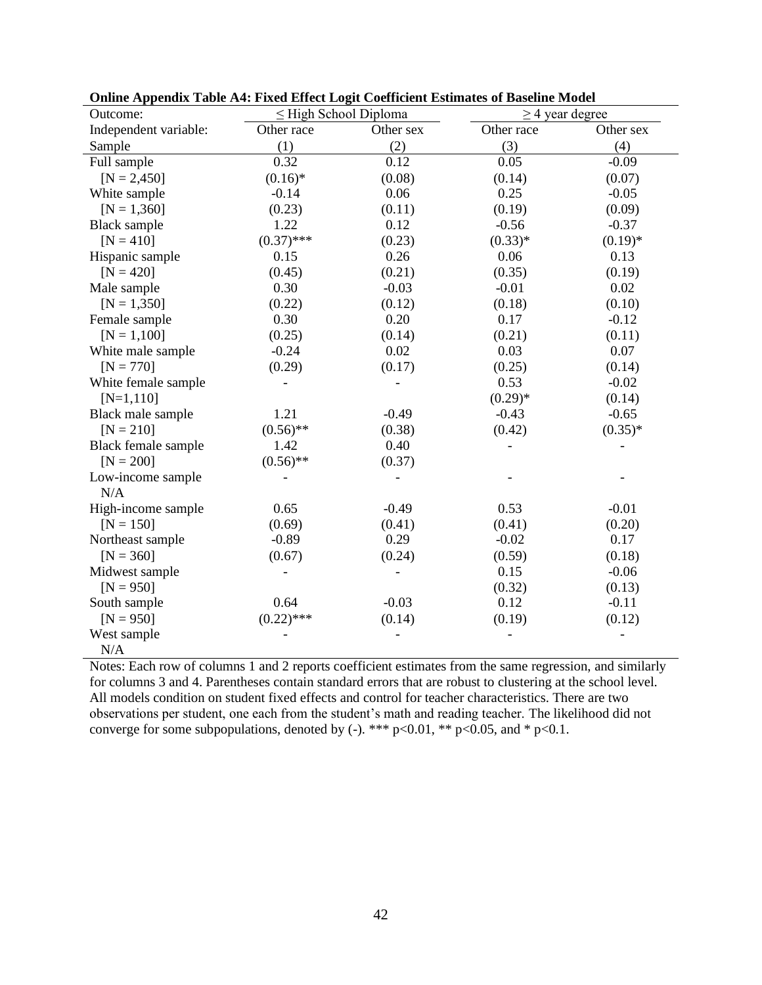| Outcome:              | $\leq$ High School Diploma |           |            | $\geq$ 4 year degree |  |
|-----------------------|----------------------------|-----------|------------|----------------------|--|
| Independent variable: | Other race                 | Other sex | Other race | Other sex            |  |
| Sample                | (1)                        | (2)       | (3)        | (4)                  |  |
| Full sample           | 0.32                       | 0.12      | 0.05       | $-0.09$              |  |
| $[N = 2,450]$         | $(0.16)^*$                 | (0.08)    | (0.14)     | (0.07)               |  |
| White sample          | $-0.14$                    | 0.06      | 0.25       | $-0.05$              |  |
| $[N = 1,360]$         | (0.23)                     | (0.11)    | (0.19)     | (0.09)               |  |
| <b>Black sample</b>   | 1.22                       | 0.12      | $-0.56$    | $-0.37$              |  |
| $[N = 410]$           | $(0.37)$ ***               | (0.23)    | $(0.33)*$  | $(0.19)*$            |  |
| Hispanic sample       | 0.15                       | 0.26      | 0.06       | 0.13                 |  |
| $[N = 420]$           | (0.45)                     | (0.21)    | (0.35)     | (0.19)               |  |
| Male sample           | 0.30                       | $-0.03$   | $-0.01$    | 0.02                 |  |
| $[N = 1,350]$         | (0.22)                     | (0.12)    | (0.18)     | (0.10)               |  |
| Female sample         | 0.30                       | 0.20      | 0.17       | $-0.12$              |  |
| $[N = 1, 100]$        | (0.25)                     | (0.14)    | (0.21)     | (0.11)               |  |
| White male sample     | $-0.24$                    | 0.02      | 0.03       | 0.07                 |  |
| $[N = 770]$           | (0.29)                     | (0.17)    | (0.25)     | (0.14)               |  |
| White female sample   |                            |           | 0.53       | $-0.02$              |  |
| $[N=1,110]$           |                            |           | $(0.29)*$  | (0.14)               |  |
| Black male sample     | 1.21                       | $-0.49$   | $-0.43$    | $-0.65$              |  |
| $[N = 210]$           | $(0.56)$ **                | (0.38)    | (0.42)     | $(0.35)*$            |  |
| Black female sample   | 1.42                       | 0.40      |            |                      |  |
| $[N = 200]$           | $(0.56)$ **                | (0.37)    |            |                      |  |
| Low-income sample     |                            |           |            |                      |  |
| N/A                   |                            |           |            |                      |  |
| High-income sample    | 0.65                       | $-0.49$   | 0.53       | $-0.01$              |  |
| $[N = 150]$           | (0.69)                     | (0.41)    | (0.41)     | (0.20)               |  |
| Northeast sample      | $-0.89$                    | 0.29      | $-0.02$    | 0.17                 |  |
| $[N = 360]$           | (0.67)                     | (0.24)    | (0.59)     | (0.18)               |  |
| Midwest sample        |                            |           | 0.15       | $-0.06$              |  |
| $[N = 950]$           |                            |           | (0.32)     | (0.13)               |  |
| South sample          | 0.64                       | $-0.03$   | 0.12       | $-0.11$              |  |
| $[N = 950]$           | $(0.22)$ ***               | (0.14)    | (0.19)     | (0.12)               |  |
| West sample           |                            |           |            |                      |  |
| N/A                   |                            |           |            |                      |  |

**Online Appendix Table A4: Fixed Effect Logit Coefficient Estimates of Baseline Model** 

Notes: Each row of columns 1 and 2 reports coefficient estimates from the same regression, and similarly for columns 3 and 4. Parentheses contain standard errors that are robust to clustering at the school level. All models condition on student fixed effects and control for teacher characteristics. There are two observations per student, one each from the student's math and reading teacher. The likelihood did not converge for some subpopulations, denoted by (-). \*\*\*  $p<0.01$ , \*\*  $p<0.05$ , and \*  $p<0.1$ .